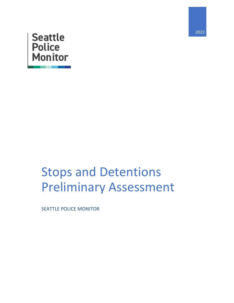

# **Seattle Police**<br>Monitor

## Stops and Detentions Preliminary Assessment

SEATTLE POLICE MONITOR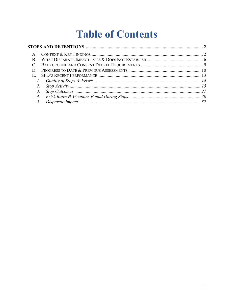### **Table of Contents**

| B.               |  |
|------------------|--|
|                  |  |
|                  |  |
| E.               |  |
|                  |  |
|                  |  |
|                  |  |
| $\overline{4}$ . |  |
|                  |  |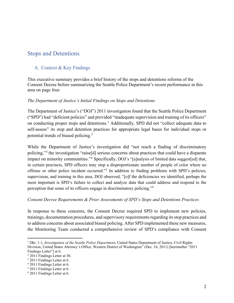#### <span id="page-2-0"></span>Stops and Detentions

#### <span id="page-2-1"></span>A. Context & Key Findings

This executive summary provides a brief history of the stops and detentions reforms of the Consent Decree before summarizing the Seattle Police Department's recent performance in this area on page four.

#### *The Department of Justice's Initial Findings on Stops and Detentions*

The Department of Justice's ("DOJ") 2011 investigation found that the Seattle Police Department ("SPD") had "deficient policies" and provided "inadequate supervision and training of its officers" on conducting proper stops and detentions.<sup>[1](#page-2-2)</sup> Additionally, SPD did not "collect adequate data to self-assess" its stop and detention practices for appropriate legal bases for individual stops or potential trends of biased policing.[2](#page-2-3)

While the Department of Justice's investigation did "not reach a finding of discriminatory policing,"[3](#page-2-4) the investigation "raise[d] serious concerns about practices that could have a disparate impact on minority communities."<sup>[4](#page-2-5)</sup> Specifically, DOJ's "[a]nalysis of limited data suggest[ed] that, in certain precincts, SPD officers may stop a disproportionate number of people of color where no offense or other police incident occurred."[5](#page-2-6) In addition to finding problems with SPD's policies, supervision, and training in this area, DOJ observed, "[o]f the deficiencies we identified, perhaps the most important is SPD's failure to collect and analyze data that could address and respond to the perception that some of its officers engage in discriminatory policing."[6](#page-2-7)

#### *Consent Decree Requirements & Prior Assessments of SPD's Stops and Detentions Practices*

In response to these concerns, the Consent Decree required SPD to implement new policies, trainings, documentation procedures, and supervisory requirementsregarding its stop practices and to address concerns about associated biased policing. After SPD implemented these new measures, the Monitoring Team conducted a comprehensive review of SPD's compliance with Consent

<span id="page-2-2"></span><sup>1</sup> Dkt. 1-1, *Investigation of the Seattle Police Department*, United States Department of Justice, Civil Rights Division, United States Attorney's Office, Western District of Washington" (Dec. 16, 2011) [hereinafter "2011 Findings Letter"] at 6.

<span id="page-2-3"></span><sup>2</sup> 2011 Findings Letter at 30.

<span id="page-2-4"></span><sup>3</sup> 2011 Findings Letter at 6.

<span id="page-2-5"></span><sup>4</sup> 2011 Findings Letter at 6.

<span id="page-2-6"></span><sup>5</sup> 2011 Findings Letter at 6.

<span id="page-2-7"></span><sup>6</sup> 2011 Findings Letter at 6.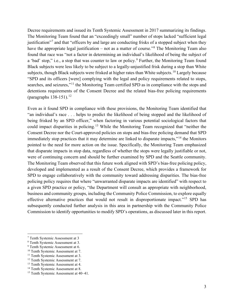Decree requirements and issued its Tenth Systemic Assessment in 2017 summarizing its findings. The Monitoring Team found that an "exceedingly small" number of stops lacked "sufficient legal justification<sup>"[7](#page-3-0)</sup> and that "officers by and large are conducting frisks of a stopped subject when they have the appropriate legal justification – not as a matter of course."<sup>[8](#page-3-1)</sup> The Monitoring Team also found that race was "not a factor in determining an individual's likelihood of being the subject of a 'bad' stop," i.e., a stop that was counter to law or policy.<sup>[9](#page-3-2)</sup> Further, the Monitoring Team found Black subjects were less likely to be subject to a legally-unjustified frisk during a stop than White subjects, though Black subjects were frisked at higher rates than White subjects.<sup>[10](#page-3-3)</sup> Largely because "SPD and its officers [were] complying with the legal and policy requirements related to stops, searches, and seizures,"<sup>[11](#page-3-4)</sup> the Monitoring Team certified SPD as in compliance with the stops and detentions requirements of the Consent Decree and the related bias-free policing requirements (paragraphs  $138-151$ ).<sup>[12](#page-3-5)</sup>

Even as it found SPD in compliance with these provisions, the Monitoring Team identified that "an individual's race . . . helps to predict the likelihood of being stopped and the likelihood of being frisked by an SPD officer," when factoring in various potential sociological factors that could impact disparities in policing.<sup>[13](#page-3-6)</sup> While the Monitoring Team recognized that "neither the Consent Decree nor the Court-approved policies on stops and bias-free policing demand that SPD immediately stop practices that it may determine are linked to disparate impacts,"<sup>[14](#page-3-7)</sup> the Monitors pointed to the need for more action on the issue. Specifically, the Monitoring Team emphasized that disparate impacts in stop data, regardless of whether the stops were legally justifiable or not, were of continuing concern and should be further examined by SPD and the Seattle community. The Monitoring Team observed that this future work aligned with SPD's bias-free policing policy, developed and implemented as a result of the Consent Decree, which provides a framework for SPD to engage collaboratively with the community toward addressing disparities. The bias-free policing policy requires that where "unwarranted disparate impacts are identified" with respect to a given SPD practice or policy, "the Department will consult as appropriate with neighborhood, business and community groups, including the Community Police Commission, to explore equally effective alternative practices that would not result in disproportionate impact."<sup>[15](#page-3-8)</sup> SPD has subsequently conducted further analysis in this area in partnership with the Community Police Commission to identify opportunities to modify SPD's operations, as discussed later in this report.

<span id="page-3-0"></span><sup>7</sup> Tenth Systemic Assessment at 3

<span id="page-3-1"></span><sup>8</sup> Tenth Systemic Assessment at 3.

<span id="page-3-2"></span><sup>&</sup>lt;sup>9</sup> Tenth Systemic Assessment at 6.

<span id="page-3-3"></span><sup>&</sup>lt;sup>10</sup> Tenth Systemic Assessment at 7.

<span id="page-3-4"></span><sup>&</sup>lt;sup>11</sup> Tenth Systemic Assessment at 3.

<span id="page-3-5"></span><sup>&</sup>lt;sup>12</sup> Tenth Systemic Assessment at 7.

<span id="page-3-6"></span><sup>&</sup>lt;sup>13</sup> Tenth Systemic Assessment at 4.

<span id="page-3-7"></span><sup>&</sup>lt;sup>14</sup> Tenth Systemic Assessment at 8.

<span id="page-3-8"></span><sup>15</sup> Tenth Systemic Assessment at 40–41.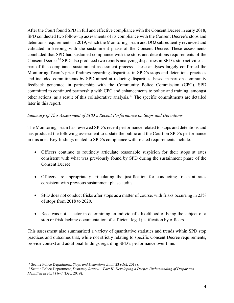After the Court found SPD in full and effective compliance with the Consent Decree in early 2018, SPD conducted two follow-up assessments of its compliance with the Consent Decree's stops and detentions requirements in 2019, which the Monitoring Team and DOJ subsequently reviewed and validated in keeping with the sustainment phase of the Consent Decree. These assessments concluded that SPD had sustained compliance with the stops and detentions requirements of the Consent Decree.<sup>[16](#page-4-0)</sup> SPD also produced two reports analyzing disparities in SPD's stop activities as part of this compliance sustainment assessment process. These analyses largely confirmed the Monitoring Team's prior findings regarding disparities in SPD's stops and detentions practices and included commitments by SPD aimed at reducing disparities, based in part on community feedback generated in partnership with the Community Police Commission (CPC). SPD committed to continued partnership with CPC and enhancements to policy and training, amongst other actions, as a result of this collaborative analysis.[17](#page-4-1) The specific commitments are detailed later in this report.

#### *Summary of This Assessment of SPD's Recent Performance on Stops and Detentions*

The Monitoring Team has reviewed SPD's recent performance related to stops and detentions and has produced the following assessment to update the public and the Court on SPD's performance in this area. Key findings related to SPD's compliance with related requirements include:

- Officers continue to routinely articulate reasonable suspicion for their stops at rates consistent with what was previously found by SPD during the sustainment phase of the Consent Decree.
- Officers are appropriately articulating the justification for conducting frisks at rates consistent with previous sustainment phase audits.
- SPD does not conduct frisks after stops as a matter of course, with frisks occurring in 23% of stops from 2018 to 2020.
- Race was not a factor in determining an individual's likelihood of being the subject of a stop or frisk lacking documentation of sufficient legal justification by officers.

This assessment also summarized a variety of quantitative statistics and trends within SPD stop practices and outcomes that, while not strictly relating to specific Consent Decree requirements, provide context and additional findings regarding SPD's performance over time:

<span id="page-4-0"></span><sup>16</sup> Seattle Police Department, *Stops and Detentions Audit* 23 (Oct. 2019).

<span id="page-4-1"></span><sup>17</sup> Seattle Police Department, *Disparity Review – Part II: Developing a Deeper Understanding of Disparities Identified in Part I* 6–7 (Dec. 2019).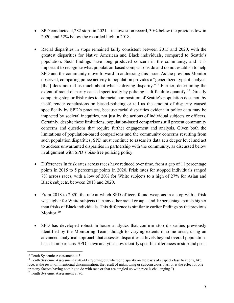- SPD conducted 4,282 stops in 2021 its lowest on record, 30% below the previous low in 2020, and 52% below the recorded high in 2018.
- Racial disparities in stops remained fairly consistent between 2015 and 2020, with the greatest disparities for Native American and Black individuals, compared to Seattle's population. Such findings have long produced concern in the community, and it is important to recognize what population-based comparisons do and do not establish to help SPD and the community move forward in addressing this issue. As the previous Monitor observed, comparing police activity to population provides a "generalized type of analysis [that] does not tell us much about what is driving disparity."<sup>[18](#page-5-0)</sup> Further, determining the extent of racial disparity caused specifically by policing is difficult to quantify.<sup>[19](#page-5-1)</sup> Directly comparing stop or frisk rates to the racial composition of Seattle's population does not, by itself, render conclusions on biased-policing or tell us the amount of disparity caused specifically by SPD's practices, because racial disparities evident in police data may be impacted by societal inequities, not just by the actions of individual subjects or officers. Certainly, despite these limitations, population-based comparisons still present community concerns and questions that require further engagement and analysis. Given both the limitations of population-based comparisons and the community concerns resulting from such population disparities, SPD must continue to assess its data at a deeper level and act to address unwarranted disparities in partnership with the community, as discussed below in alignment with SPD's bias-free policing policy.
- Differences in frisk rates across races have reduced over time, from a gap of 11 percentage points in 2015 to 5 percentage points in 2020. Frisk rates for stopped individuals ranged 7% across races, with a low of 20% for White subjects to a high of 27% for Asian and Black subjects, between 2018 and 2020.
- From 2018 to 2020, the rate at which SPD officers found weapons in a stop with a frisk was higher for White subjects than any other racial group – and 10 percentage points higher than frisks of Black individuals. This difference is similar to earlier findings by the previous Monitor.<sup>[20](#page-5-2)</sup>
- SPD has developed robust in-house analytics that confirm stop disparities previously identified by the Monitoring Team, though to varying extents in some areas, using an advanced analytical approach that assesses disparities at levels beyond overall populationbased comparisons. SPD's own analytics now identify specific differences in stop and post-

<span id="page-5-0"></span><sup>&</sup>lt;sup>18</sup> Tenth Systemic Assessment at 3.

<span id="page-5-1"></span><sup>&</sup>lt;sup>19</sup> Tenth Systemic Assessment at 40-41 ("Sorting out whether disparity on the basis of suspect classifications, like race, is the result of intentional discrimination, the result of unknowing or subconscious bias, or is the effect of one or many factors having nothing to do with race or that are tangled up with race is challenging.").

<span id="page-5-2"></span><sup>&</sup>lt;sup>20</sup> Tenth Systemic Assessment at 76.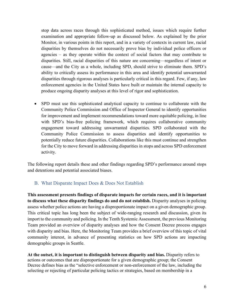stop data across races through this sophisticated method, issues which require further examination and appropriate follow-up as discussed below. As explained by the prior Monitor, in various points in this report, and in a variety of contexts in current law, racial disparities by themselves do not necessarily prove bias by individual police officers or agencies – as they operate within the context of social factors that may contribute to disparities. Still, racial disparities of this nature are concerning—regardless of intent or cause—and the City as a whole, including SPD, should strive to eliminate them. SPD's ability to critically assess its performance in this area and identify potential unwarranted disparities through rigorous analyses is particularly critical in this regard. Few, if any, law enforcement agencies in the United States have built or maintain the internal capacity to produce ongoing disparity analyses at this level of rigor and sophistication.

• SPD must use this sophisticated analytical capacity to continue to collaborate with the Community Police Commission and Office of Inspector General to identify opportunities for improvement and implement recommendations toward more equitable policing, in line with SPD's bias-free policing framework, which requires collaborative community engagement toward addressing unwarranted disparities. SPD collaborated with the Community Police Commission to assess disparities and identify opportunities to potentially reduce future disparities. Collaborations like this must continue and strengthen for the City to move forward in addressing disparities in stops and across SPD enforcement activity.

The following report details these and other findings regarding SPD's performance around stops and detentions and potential associated biases.

#### <span id="page-6-0"></span>B. What Disparate Impact Does & Does Not Establish

**This assessment presents findings of disparate impacts for certain races, and it is important to discuss what these disparity findings do and do not establish.** Disparity analyses in policing assess whether police actions are having a disproportionate impact on a given demographic group. This critical topic has long been the subject of wide-ranging research and discussion, given its import to the community and policing. In the Tenth Systemic Assessment, the previous Monitoring Team provided an overview of disparity analyses and how the Consent Decree process engages with disparity and bias. Here, the Monitoring Team provides a brief overview of this topic of vital community interest, in advance of presenting statistics on how SPD actions are impacting demographic groups in Seattle.

**At the outset, it is important to distinguish between disparity and bias.** Disparity refers to actions or outcomes that are disproportionate for a given demographic group; the Consent Decree defines bias as the "selective enforcement or non-enforcement of the law, including the selecting or rejecting of particular policing tactics or strategies, based on membership in a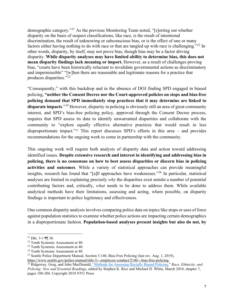demographic category."[21](#page-7-0) As the previous Monitoring Team noted, "[s]orting out whether disparity on the basis of suspect classifications, like race, is the result of intentional discrimination, the result of unknowing or subconscious bias, or is the effect of one or many factors either having nothing to do with race or that are tangled up with race is challenging."<sup>[22](#page-7-1)</sup> In other words, disparity, by itself, may not prove bias, though bias may be a factor driving disparity. **While disparity analyses may have limited ability to determine bias, this does not mean disparity findings lack meaning or import.** However, as a result of challenges proving bias, "courts have been historically reluctant to invalidate governmental actions as discriminatory and impermissible" "[w]hen there are reasonable and legitimate reasons for a practice that produces disparities."[23](#page-7-2)

"Consequently," with this backdrop and in the absence of DOJ finding SPD engaged in biased policing, **"neither the Consent Decree nor the Court-approved policies on stops and bias-free policing demand that SPD immediately stop practices that it may determine are linked to disparate impacts**."[24](#page-7-3) However, disparity in policing is obviously still an area of great community interest, and SPD's bias-free policing policy, approved through the Consent Decree process, requires that SPD assess its data to identify unwarranted disparities and collaborate with the community to "explore equally effective alternative practices that would result in less disproportionate impact."<sup>[25](#page-7-4)</sup> This report discusses SPD's efforts in this area – and provides recommendations for the ongoing work to come in partnership with the community.

This ongoing work will require both analysis of disparity data and action toward addressing identified issues. **Despite extensive research and interest in identifying and addressing bias in policing, there is no consensus on how to best assess disparities or discern bias in policing activities and outcomes**. While a variety of statistical approaches can provide meaningful insights, research has found that "[a]ll approaches have weaknesses."[26](#page-7-5) In particular, statistical analyses are limited in explaining precisely *why* the disparities exist amidst a number of potential contributing factors and, critically, *what* needs to be done to address them. While available analytical methods have their limitations, assessing and acting, where possible, on disparity findings is important to police legitimacy and effectiveness.

One common disparity analysis involves comparing police data on topics like stops or uses of force against population statistics to examine whether police actions are impacting certain demographics in a disproportionate fashion. **Population-based analyses present insights but also do not, by** 

<span id="page-7-0"></span> $21$  Dkt. 3-1 ¶¶ 30.

<span id="page-7-1"></span><sup>&</sup>lt;sup>22</sup> Tenth Systemic Assessment at 40.

<span id="page-7-2"></span><sup>&</sup>lt;sup>23</sup> Tenth Systemic Assessment at 40.

<span id="page-7-3"></span><sup>&</sup>lt;sup>24</sup> Tenth Systemic Assessment at 40.

<span id="page-7-4"></span><sup>&</sup>lt;sup>25</sup> Seattle Police Department Manual, Section 5.140, Bias-Free Policing (last rev. Aug. 1, 2019),

https://www.seattle.gov/police-manual/title-5---employee-conduct/5140---bias-free-policing.

<span id="page-7-5"></span><sup>26</sup> Ridgeway, Greg, and John MacDonald, ["Methods for Assessing Racially Biased Policing,](http://www.rand.org/pubs/reprints/RP1427.html)" *Race, Ethnicity, and Policing: New and Essential Readings*, edited by Stephen K. Rice and Michael D. White, March 2010, chapter 7, pages 180-204. Copyright 2010 NYU Press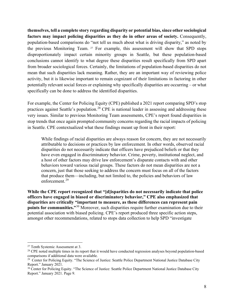**themselves, tell a complete story regarding disparity or potential bias, since other sociological factors may impact policing disparities as they do in other areas of society.** Consequently, population-based comparisons do "not tell us much about what is driving disparity," as noted by the previous Monitoring Team. [27](#page-8-0) For example, this assessment will show that SPD stops disproportionately impact certain minority groups in Seattle, but these population-based conclusions cannot identify to what degree these disparities result specifically from SPD apart from broader sociological forces. Certainly, the limitations of population-based disparities do not mean that such disparities lack meaning. Rather, they are an important way of reviewing police activity, but it is likewise important to remain cognizant of their limitations in factoring in other potentially relevant social forces or explaining why specifically disparities are occurring – or what specifically can be done to address the identified disparities.

For example, the Center for Policing Equity (CPE) published a 2021 report comparing SPD's stop practices against Seattle's population.<sup>[28](#page-8-1)</sup> CPE is national leader in assessing and addressing these very issues. Similar to previous Monitoring Team assessments, CPE's report found disparities in stop trends that once again prompted community concerns regarding the racial impacts of policing in Seattle. CPE contextualized what these findings meant up front in their report:

While findings of racial disparities are always reason for concern, they are not necessarily attributable to decisions or practices by law enforcement. In other words, observed racial disparities do not necessarily indicate that officers have prejudiced beliefs or that they have even engaged in discriminatory behavior. Crime, poverty, institutional neglect, and a host of other factors may drive law enforcement's disparate contacts with and other behaviors toward various racial groups. These factors do not mean disparities are not a concern, just that those seeking to address the concern must focus on all of the factors that produce them—including, but not limited to, the policies and behaviors of law enforcement.[29](#page-8-2)

**While the CPE report recognized that "[d]isparities do not necessarily indicate that police officers have engaged in biased or discriminatory behavior," CPE also emphasized that disparities are critically "important to measure, as these differences can represent pain points for communities."**[30](#page-8-3) Moreover, such disparities require further examination due to their potential association with biased policing. CPE's report produced three specific action steps, amongst other recommendations, related to stops data collection to help SPD "investigate

<span id="page-8-0"></span><sup>&</sup>lt;sup>27</sup> Tenth Systemic Assessment at 3.

<span id="page-8-1"></span> $^{28}$  CPE noted multiple times in its report that it would have conducted regression analyses beyond population-based comparisons if additional data were available.<br><sup>29</sup> Center for Policing Equity. "The Science of Justice: Seattle Police Department National Justice Database City

<span id="page-8-2"></span>Report." January 2021.

<span id="page-8-3"></span><sup>&</sup>lt;sup>30</sup> Center for Policing Equity. "The Science of Justice: Seattle Police Department National Justice Database City Report." January 2021. Page 9.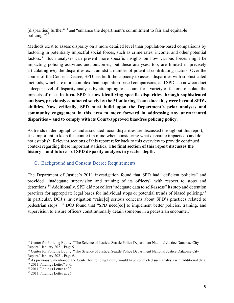[disparities] further"<sup>[31](#page-9-1)</sup> and "enhance the department's commitment to fair and equitable policing."[32](#page-9-2)

Methods exist to assess disparity on a more detailed level than population-based comparisons by factoring in potentially impactful social forces, such as crime rates, income, and other potential factors.[33](#page-9-3) Such analyses can present more specific insights on how various forces might be impacting policing activities and outcomes, but these analyses, too, are limited in precisely articulating *why* the disparities exist amidst a number of potential contributing factors. Over the course of the Consent Decree, SPD has built the capacity to assess disparities with sophisticated methods, which are more complex than population-based comparisons, and SPD can now conduct a deeper level of disparity analysis by attempting to account for a variety of factors to isolate the impacts of race. **In turn, SPD is now identifying specific disparities through sophisticated analyses, previously conducted solely by the Monitoring Team since they were beyond SPD's abilities. Now, critically, SPD must build upon the Department's prior analyses and community engagement in this area to move forward in addressing any unwarranted disparities – and to comply with its Court-approved bias-free policing policy.**

As trends in demographics and associated racial disparities are discussed throughout this report, it is important to keep this context in mind when considering what disparate impacts do and do not establish. Relevant sections of this report refer back to this overview to provide continued context regarding these important statistics. **The final section of this report discusses the history – and future – of SPD disparity analyses in greater depth.** 

#### <span id="page-9-0"></span>C. Background and Consent Decree Requirements

The Department of Justice's 2011 investigation found that SPD had "deficient policies" and provided "inadequate supervision and training of its officers" with respect to stops and detentions.<sup>[34](#page-9-4)</sup> Additionally, SPD did not collect "adequate data to self-assess" its stop and detention practices for appropriate legal bases for individual stops or potential trends of biased policing.<sup>[35](#page-9-5)</sup> In particular, DOJ's investigation "raise<sup>[d]</sup> serious concerns about SPD's practices related to pedestrian stops."[36](#page-9-6) DOJ found that "SPD need[ed] to implement better policies, training, and supervision to ensure officers constitutionally detain someone in a pedestrian encounter."

<span id="page-9-1"></span><sup>&</sup>lt;sup>31</sup> Center for Policing Equity. "The Science of Justice: Seattle Police Department National Justice Database City Report." January 2021. Page 9.

<span id="page-9-2"></span><sup>&</sup>lt;sup>32</sup> Center for Policing Equity. "The Science of Justice: Seattle Police Department National Justice Database City Report." January 2021. Page 6.

<span id="page-9-3"></span><sup>&</sup>lt;sup>33</sup> As previously mentioned, the Center for Policing Equity would have conducted such analysis with additional data.

<span id="page-9-4"></span> $34$  2011 Findings Letter" at 6.

<sup>&</sup>lt;sup>35</sup> 2011 Findings Letter at 30.

<span id="page-9-6"></span><span id="page-9-5"></span><sup>36</sup> 2011 Findings Letter at 26.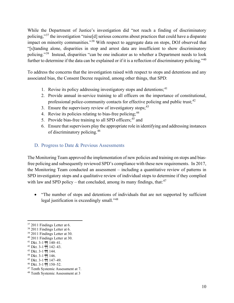While the Department of Justice's investigation did "not reach a finding of discriminatory policing,"[37](#page-10-1) the investigation "raise[d] serious concerns about practices that could have a disparate impact on minority communities."<sup>[38](#page-10-2)</sup> With respect to aggregate data on stops, DOJ observed that "[s]tanding alone, disparities in stop and arrest data are insufficient to show discriminatory policing."[39](#page-10-3) Instead, disparities "can be one indicator as to whether a Department needs to look further to determine if the data can be explained or if it is a reflection of discriminatory policing."<sup>[40](#page-10-4)</sup>

To address the concerns that the investigation raised with respect to stops and detentions and any associated bias, the Consent Decree required, among other things, that SPD:

- 1. Revise its policy addressing investigatory stops and detentions;<sup>[41](#page-10-5)</sup>
- 2. Provide annual in-service training to all officers on the importance of constitutional, professional police-community contacts for effective policing and public trust;<sup>[42](#page-10-6)</sup>
- 3. Ensure the supervisory review of investigatory stops;  $43$
- 4. Revise its policies relating to bias-free policing;<sup>[44](#page-10-8)</sup>
- 5. Provide bias-free training to all SPD officers;<sup>[45](#page-10-9)</sup> and
- 6. Ensure that supervisors play the appropriate role in identifying and addressing instances of discriminatory policing.[46](#page-10-10)

#### <span id="page-10-0"></span>D. Progress to Date & Previous Assessments

The Monitoring Team approved the implementation of new policies and training on stops and biasfree policing and subsequently reviewed SPD's compliance with these new requirements. In 2017, the Monitoring Team conducted an assessment – including a quantitative review of patterns in SPD investigatory stops and a qualitative review of individual stops to determine if they complied with law and SPD policy – that concluded, among its many findings, that:<sup>[47](#page-10-11)</sup>

• "The number of stops and detentions of individuals that are not supported by sufficient legal justification is exceedingly small."[48](#page-10-12) 

<span id="page-10-8"></span><sup>44</sup> Dkt. 3-1 ¶¶ 146.

<span id="page-10-1"></span><sup>&</sup>lt;sup>37</sup> 2011 Findings Letter at 6.

<span id="page-10-2"></span><sup>38</sup> 2011 Findings Letter at 6.

<span id="page-10-3"></span><sup>39</sup> 2011 Findings Letter at 30.

<span id="page-10-4"></span><sup>40</sup> 2011 Findings Letter at 30.

<span id="page-10-5"></span> $41$  Dkt. 3-1 ¶¶ 140-41.

<span id="page-10-6"></span><sup>42</sup> Dkt. 3-1 ¶¶ 142–43.

<span id="page-10-7"></span><sup>43</sup> Dkt. 3-1 ¶¶ 144.

<span id="page-10-9"></span><sup>45</sup> Dkt. 3-1 ¶¶ 147–49.

<span id="page-10-10"></span><sup>46</sup> Dkt. 3-1 ¶¶ 150–52.

<span id="page-10-11"></span><sup>&</sup>lt;sup>47</sup> Tenth Systemic Assessment at 7.

<span id="page-10-12"></span><sup>48</sup> Tenth Systemic Assessment at 3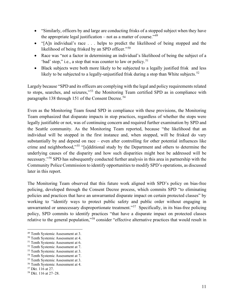- "Similarly, officers by and large are conducting frisks of a stopped subject when they have the appropriate legal justification – not as a matter of course."<sup>49</sup>
- "[A]n individual's race . . . helps to predict the likelihood of being stopped and the likelihood of being frisked by an SPD officer."[50](#page-11-1)
- Race was "not a factor in determining an individual's likelihood of being the subject of a 'bad' stop," i.e., a stop that was counter to law or policy. $51$
- Black subjects were both more likely to be subjected to a legally justified frisk and less likely to be subjected to a legally-unjustified frisk during a stop than White subjects.<sup>[52](#page-11-3)</sup>

Largely because "SPD and its officers are complying with the legal and policy requirements related to stops, searches, and seizures,"[53](#page-11-4) the Monitoring Team certified SPD as in compliance with paragraphs 138 through 151 of the Consent Decree.<sup>54</sup>

Even as the Monitoring Team found SPD in compliance with these provisions, the Monitoring Team emphasized that disparate impacts in stop practices, regardless of whether the stops were legally justifiable or not, was of continuing concern and required further examination by SPD and the Seattle community. As the Monitoring Team reported, because "the likelihood that an individual will be stopped in the first instance and, when stopped, will be frisked do vary substantially by and depend on race – even after controlling for other potential influences like crime and neighborhood,"[55](#page-11-6) "[a]dditional study by the Department and others to determine the underlying causes of the disparity and how such disparities might best be addressed will be necessary."[56](#page-11-7) SPD has subsequently conducted further analysis in this area in partnership with the Community Police Commission to identify opportunities to modify SPD's operations, as discussed later in this report.

The Monitoring Team observed that this future work aligned with SPD's policy on bias-free policing, developed through the Consent Decree process, which commits SPD "to eliminating policies and practices that have an unwarranted disparate impact on certain protected classes" by working to "identify ways to protect public safety and public order without engaging in unwarranted or unnecessary disproportionate treatment."<sup>[57](#page-11-8)</sup> Specifically, in its bias-free policing policy, SPD commits to identify practices "that have a disparate impact on protected classes relative to the general population,"[58](#page-11-9) consider "effective alternative practices that would result in

<span id="page-11-0"></span><sup>&</sup>lt;sup>49</sup> Tenth Systemic Assessment at 3.

<span id="page-11-1"></span><sup>50</sup> Tenth Systemic Assessment at 4.

<span id="page-11-2"></span><sup>51</sup> Tenth Systemic Assessment at 6.

<span id="page-11-3"></span><sup>52</sup> Tenth Systemic Assessment at 7.

<span id="page-11-4"></span><sup>53</sup> Tenth Systemic Assessment at 3.

<span id="page-11-6"></span><span id="page-11-5"></span><sup>&</sup>lt;sup>54</sup> Tenth Systemic Assessment at 7.

<sup>55</sup> Tenth Systemic Assessment at 3.

<span id="page-11-7"></span><sup>56</sup> Tenth Systemic Assessment at 4.

<span id="page-11-8"></span><sup>57</sup> Dkt. 116 at 27.

<span id="page-11-9"></span><sup>58</sup> Dkt. 116 at 27–28.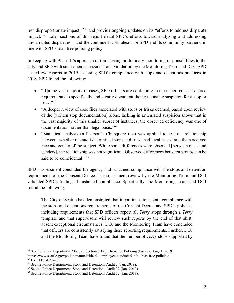less disproportionate impact,"[59](#page-12-0) and provide ongoing updates on its "efforts to address disparate impact."[60](#page-12-1) Later sections of this report detail SPD's efforts toward analyzing and addressing unwarranted disparities – and the continued work ahead for SPD and its community partners, in line with SPD's bias-free policing policy.

In keeping with Phase II's approach of transferring preliminary monitoring responsibilities to the City and SPD with subsequent assessment and validation by the Monitoring Team and DOJ, SPD issued two reports in 2019 assessing SPD's compliance with stops and detentions practices in 2018. SPD found the following:

- "Illn the vast majority of cases, SPD officers are continuing to meet their consent decree requirements to specifically and clearly document their reasonable suspicion for a stop or frisk." $61$
- "A deeper review of case files associated with stops or frisks deemed, based upon review of the [written stop documentation] alone, lacking in articulated suspicion shows that in the vast majority of this smaller subset of instances, the observed deficiency was one of documentation, rather than legal basis."<sup>[62](#page-12-3)</sup>
- "Statistical analysis (a Pearson's Chi-square test) was applied to test the relationship between [whether the audit determined stops and frisks had legal bases] and the perceived race and gender of the subject. While some differences were observed [between races and genders], the relationship was not significant. Observed differences between groups can be said to be coincidental."<sup>[63](#page-12-4)</sup>

SPD's assessment concluded the agency had sustained compliance with the stops and detention requirements of the Consent Decree. The subsequent review by the Monitoring Team and DOJ validated SPD's finding of sustained compliance. Specifically, the Monitoring Team and DOJ found the following:

The City of Seattle has demonstrated that it continues to sustain compliance with the stops and detentions requirements of the Consent Decree and SPD's policies, including requirements that SPD officers report all *Terry* stops through a *Terry*  template and that supervisors will review such reports by the end of that shift, absent exceptional circumstances. DOJ and the Monitoring Team have concluded that officers are consistently satisfying these reporting requirements. Further, DOJ and the Monitoring Team have found that the number of *Terry* stops supported by

<span id="page-12-0"></span><sup>59</sup> Seattle Police Department Manual, Section 5.140, Bias-Free Policing (last rev. Aug. 1, 2019), https://www.seattle.gov/police-manual/title-5---employee-conduct/5140---bias-free-policing.

<span id="page-12-1"></span><sup>60</sup> Dkt. 116 at 27–28.

<span id="page-12-2"></span><sup>61</sup> Seattle Police Department, Stops and Detentions Audit 3 (Jan. 2019).

<span id="page-12-3"></span> $62$  Seattle Police Department, Stops and Detentions Audit 32 (Jan. 2019).

<span id="page-12-4"></span><sup>&</sup>lt;sup>63</sup> Seattle Police Department, Stops and Detentions Audit 32 (Jan. 2019).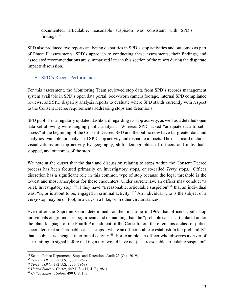documented, articulable, reasonable suspicion was consistent with SPD's findings.[64](#page-13-1)

SPD also produced two reports analyzing disparities in SPD's stop activities and outcomes as part of Phase II assessments. SPD's approach to conducting these assessments, their findings, and associated recommendations are summarized later in this section of the report during the disparate impacts discussion.

#### <span id="page-13-0"></span>E. SPD's Recent Performance

For this assessment, the Monitoring Team reviewed stop data from SPD's records management system available in SPD's open data portal, body-worn camera footage, internal SPD compliance reviews, and SPD disparity analysis reports to evaluate where SPD stands currently with respect to the Consent Decree requirements addressing stops and detentions.

SPD publishes a regularly updated dashboard regarding its stop activity, as well as a detailed open data set allowing wide-ranging public analysis. Whereas SPD lacked "adequate data to selfassess" at the beginning of the Consent Decree, SPD and the public now have far greater data and analytics available for analysis of SPD stop activity and disparate impacts. The dashboard includes visualizations on stop activity by geography, shift, demographics of officers and individuals stopped, and outcomes of the stop.

We note at the outset that the data and discussion relating to stops within the Consent Decree process has been focused primarily on investigatory stops, or so-called *Terry* stops. Officer discretion has a significant role in this common type of stop because the legal threshold is the lowest and most amorphous for these encounters. Under current law, an officer may conduct "a brief, investigatory stop<sup>"[65](#page-13-2)</sup> if they have "a reasonable, articulable suspicion"<sup>[66](#page-13-3)</sup> that an individual was, "is, or is about to be, engaged in criminal activity."<sup>[67](#page-13-4)</sup> An individual who is the subject of a *Terry* stop may be on foot, in a car, on a bike, or in other circumstances.

Even after the Supreme Court determined for the first time in 1969 that officers could stop individuals on grounds less significant and demanding than the "probable cause" articulated under the plain language of the Fourth Amendment of the Constitution, there remains a class of police encounters that are "probable cause" stops – where an officer is able to establish "a fair probability" that a subject is engaged in criminal activity.<sup>[68](#page-13-5)</sup> For example, an officer who observes a driver of a car failing to signal before making a turn would have not just "reasonable articulable suspicion"

<span id="page-13-1"></span><sup>64</sup> Seattle Police Department, Stops and Detentions Audit 23 (Oct. 2019).

<span id="page-13-2"></span><sup>65</sup> *Terry v. Ohio*, 392 U.S. 1, 30 (1969)

<span id="page-13-3"></span><sup>66</sup> *Terry v. Ohio*, 392 U.S. 1, 30 (1969)

<span id="page-13-4"></span><sup>67</sup> *Untied States v. Cortez*, 449 U.S. 411, 417 (1981).

<span id="page-13-5"></span><sup>68</sup> *United States v. Solow*, 490 U.S. 1, 7.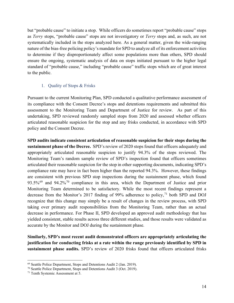but "probable cause" to initiate a stop. While officers do sometimes report "probable cause" stops as *Terry* stops, "probable cause" stops are not investigatory or *Terry* stops and, as such, are not systematically included in the stops analyzed here. As a general matter, given the wide-ranging nature of the bias-free policing policy's mandate for SPD to analyze all of its enforcement activities to determine if they disproportionately affect some populations more than others, SPD should ensure the ongoing, systematic analysis of data on stops initiated pursuant to the higher legal standard of "probable cause," including "probable cause" traffic stops which are of great interest to the public.

#### 1. Quality of Stops & Frisks

<span id="page-14-0"></span>Pursuant to the current Monitoring Plan, SPD conducted a qualitative performance assessment of its compliance with the Consent Decree's stops and detentions requirements and submitted this assessment to the Monitoring Team and Department of Justice for review. As part of this undertaking, SPD reviewed randomly sampled stops from 2020 and assessed whether officers articulated reasonable suspicion for the stop and any frisks conducted, in accordance with SPD policy and the Consent Decree.

**SPD audits indicate consistent articulation of reasonable suspicion for their stops during the sustainment phase of the Decree.** SPD's review of 2020 stops found that officers adequately and appropriately articulated reasonable suspicion to justify 94.3% of the stops reviewed. The Monitoring Team's random sample review of SPD's inspection found that officers sometimes articulated their reasonable suspicion for the stop in other supporting documents, indicating SPD's compliance rate may have in fact been higher than the reported 94.3%. However, these findings are consistent with previous SPD stop inspections during the sustainment phase, which found 93.5%<sup>[69](#page-14-1)</sup> and 94.2%<sup>[70](#page-14-2)</sup> compliance in this area, which the Department of Justice and prior Monitoring Team determined to be satisfactory. While the most recent findings represent a decrease from the Monitor's 2017 finding of 99% adherence to policy,  $^{71}$  $^{71}$  $^{71}$  both SPD and DOJ recognize that this change may simply be a result of changes in the review process, with SPD taking over primary audit responsibilities from the Monitoring Team, rather than an actual decrease in performance. For Phase II, SPD developed an approved audit methodology that has yielded consistent, stable results across three different studies, and those results were validated as accurate by the Monitor and DOJ during the sustainment phase.

**Similarly, SPD's most recent audit demonstrated officers are appropriately articulating the justification for conducting frisks at a rate within the range previously identified by SPD in sustainment phase audits.** SPD's review of 2020 frisks found that officers articulated frisks

<span id="page-14-1"></span><sup>69</sup> Seattle Police Department, Stops and Detentions Audit 2 (Jan. 2019).

<span id="page-14-2"></span><sup>70</sup> Seattle Police Department, Stops and Detentions Audit 3 (Oct. 2019).

<span id="page-14-3"></span><sup>71</sup> Tenth Systemic Assessment at 5.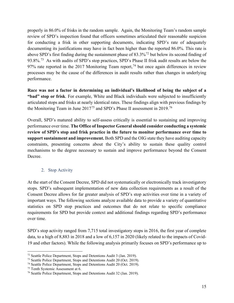properly in 86.0% of frisks in the random sample. Again, the Monitoring Team's random sample review of SPD's inspection found that officers sometimes articulated their reasonable suspicion for conducting a frisk in other supporting documents, indicating SPD's rate of adequately documenting its justifications may have in fact been higher than the reported 86.0%. This rate is above SPD's first finding during the sustainment phase of 83.3%[72](#page-15-1) but below its second finding of 93.8%.<sup>[73](#page-15-2)</sup> As with audits of SPD's stop practices, SPD's Phase II frisk audit results are below the 97% rate reported in the 2017 Monitoring Team report,<sup>[74](#page-15-3)</sup> but once again differences in review processes may be the cause of the differences in audit results rather than changes in underlying performance.

**Race was not a factor in determining an individual's likelihood of being the subject of a "bad" stop or frisk**. For example, White and Black individuals were subjected to insufficiently articulated stops and frisks at nearly identical rates. These findings align with previous findings by the Monitoring Team in June 2017<sup>[75](#page-15-4)</sup> and SPD's Phase II assessment in 2019.<sup>[76](#page-15-5)</sup>

Overall, SPD's matured ability to self-assess critically is essential to sustaining and improving performance over time. **The Office of Inspector General should consider conducting a systemic review of SPD's stop and frisk practice in the future to monitor performance over time to support sustainment and improvement.** Both SPD and the OIG state they have auditing capacity constraints, presenting concerns about the City's ability to sustain these quality control mechanisms to the degree necessary to sustain and improve performance beyond the Consent Decree.

#### 2. Stop Activity

<span id="page-15-0"></span>At the start of the Consent Decree, SPD did not systematically or electronically track investigatory stops. SPD's subsequent implementation of new data collection requirements as a result of the Consent Decree allows for far greater analysis of SPD's stop activities over time in a variety of important ways. The following sections analyze available data to provide a variety of quantitative statistics on SPD stop practices and outcomes that do not relate to specific compliance requirements for SPD but provide context and additional findings regarding SPD's performance over time.

SPD's stop activity ranged from 7,715 total investigatory stops in 2016, the first year of complete data, to a high of 8,883 in 2018 and a low of 6,157 in 2020 (likely related to the impacts of Covid-19 and other factors). While the following analysis primarily focuses on SPD's performance up to

<span id="page-15-1"></span><sup>72</sup> Seattle Police Department, Stops and Detentions Audit 3 (Jan. 2019).

<span id="page-15-3"></span><span id="page-15-2"></span><sup>&</sup>lt;sup>73</sup> Seattle Police Department, Stops and Detentions Audit 20 (Oct. 2019).<br><sup>74</sup> Seattle Police Department, Stops and Detentions Audit 20 (Oct. 2019).

<span id="page-15-5"></span><span id="page-15-4"></span><sup>&</sup>lt;sup>75</sup> Tenth Systemic Assessment at 6.  $\frac{75}{16}$  Seattle Police Department, Stops and Detentions Audit 32 (Jan. 2019).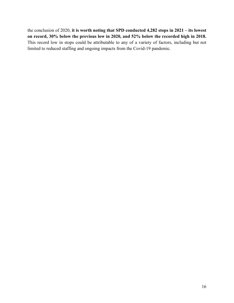the conclusion of 2020, **it is worth noting that SPD conducted 4,282 stops in 2021 – its lowest on record, 30% below the previous low in 2020, and 52% below the recorded high in 2018.** This record low in stops could be attributable to any of a variety of factors, including but not limited to reduced staffing and ongoing impacts from the Covid-19 pandemic.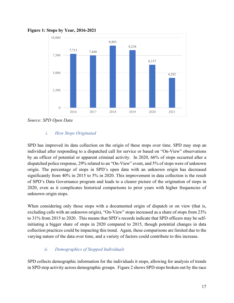

**Figure 1: Stops by Year, 2016-2021**

*Source: SPD Open Data*

#### *i. How Stops Originated*

SPD has improved its data collection on the origin of these stops over time. SPD may stop an individual after responding to a dispatched call for service or based on "On-View" observations by an officer of potential or apparent criminal activity. In 2020, 66% of stops occurred after a dispatched police response, 29% related to an "On-View" event, and 5% of stops were of unknown origin. The percentage of stops in SPD's open data with an unknown origin has decreased significantly from 40% in 2015 to 5% in 2020. This improvement in data collection is the result of SPD's Data Governance program and leads to a clearer picture of the origination of stops in 2020, even as it complicates historical comparisons to prior years with higher frequencies of unknown origin stops.

When considering only those stops with a documented origin of dispatch or on view (that is, excluding calls with an unknown origin), "On-View" stops increased as a share of stops from 23% to 31% from 2015 to 2020. This means that SPD's records indicate that SPD officers may be selfinitiating a bigger share of stops in 2020 compared to 2015, though potential changes in data collection practices could be impacting this trend. Again, these comparisons are limited due to the varying nature of the data over time, and a variety of factors could contribute to this increase.

#### *ii. Demographics of Stopped Individuals*

SPD collects demographic information for the individuals it stops, allowing for analysis of trends in SPD stop activity across demographic groups. Figure 2 shows SPD stops broken out by the race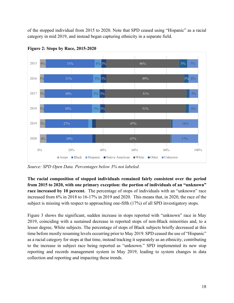of the stopped individual from 2015 to 2020. Note that SPD ceased using "Hispanic" as a racial category in mid 2019, and instead began capturing ethnicity in a separate field.



**Figure 2: Stops by Race, 2015-2020**

*Source: SPD Open Data. Percentages below 3% not labeled.*

**The racial composition of stopped individuals remained fairly consistent over the period from 2015 to 2020, with one primary exception: the portion of individuals of an "unknown" race increased by 10 percent.** The percentage of stops of individuals with an "unknown" race increased from 6% in 2018 to 16-17% in 2019 and 2020. This means that, in 2020, the race of the subject is missing with respect to approaching one-fifth (17%) of all SPD investigatory stops.

Figure 3 shows the significant, sudden increase in stops reported with "unknown" race in May 2019, coinciding with a sustained decrease in reported stops of non-Black minorities and, to a lesser degree, White subjects. The percentage of stops of Black subjects briefly decreased at this time before mostly resuming levels occurring prior to May 2019. SPD ceased the use of "Hispanic" as a racial category for stops at that time, instead tracking it separately as an ethnicity, contributing to the increase in subject race being reported as "unknown." SPD implemented its new stop reporting and records management system in May 2019, leading to system changes in data collection and reporting and impacting these trends.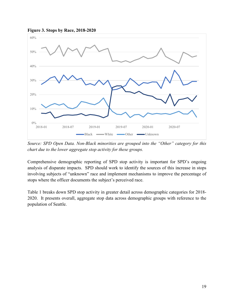



*Source: SPD Open Data. Non-Black minorities are grouped into the "Other" category for this chart due to the lower aggregate stop activity for these groups.*

Comprehensive demographic reporting of SPD stop activity is important for SPD's ongoing analysis of disparate impacts. SPD should work to identify the sources of this increase in stops involving subjects of "unknown" race and implement mechanisms to improve the percentage of stops where the officer documents the subject's perceived race.

Table 1 breaks down SPD stop activity in greater detail across demographic categories for 2018- 2020. It presents overall, aggregate stop data across demographic groups with reference to the population of Seattle.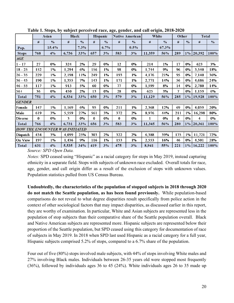|                                        |          | <b>Asian</b>                         | <b>Black</b> |               |          | Hispanic      |          | <b>Native American</b> | White        |               | Other    |               | <b>Total</b>   |               |
|----------------------------------------|----------|--------------------------------------|--------------|---------------|----------|---------------|----------|------------------------|--------------|---------------|----------|---------------|----------------|---------------|
|                                        | #        | $\frac{0}{0}$                        | #            | $\frac{0}{0}$ | #        | $\frac{0}{0}$ | #        | $\frac{0}{0}$          | #            | $\frac{0}{0}$ | #        | $\frac{0}{0}$ | #              | $\frac{0}{0}$ |
| Pop.                                   |          | 15.4%                                |              | 7.3%          |          | 6.7%          |          | 0.5%                   |              | 67.3%         |          |               |                |               |
| <b>Stops</b>                           | 768      | 4%                                   | 6,736        | 33%           | 657      | 3%            | 583      | 3%                     | 11,359       | 56%           | 289      |               | 1% 20,392      | 100%          |
| $\pmb{A}\pmb{G}\pmb{E}$                |          |                                      |              |               |          |               |          |                        |              |               |          |               |                |               |
| $1 - 17$                               | 27       | $0\%$                                | 324          | 2%            | 29       | $0\%$         | 12       | $0\%$                  | 214          | 1%            | 17       | $0\%$         | 623            | 3%            |
| $18 - 25$                              | 152      | 1%                                   | 1,294        | 6%            | 156      | 1%            | 98       | $0\%$                  | 1,744        | 9%            | 96       | $0\%$         | 3,540          | 18%           |
| $ 26 - 35 $                            | 229      | 1%                                   | 2,198        | 11%           | 249      | 1%            | 193      | 1%                     | 4,176        | 21%           | 95       | $0\%$         | 7,140          | 36%           |
| $36 - 45$                              | 190      | 1%                                   | 1,355        | 7%            | 143      | 1%            | 171      | $1\%$                  | 2,771        | 14%           | 56       | $0\%$         | 4,686          | 24%           |
| $46 - 55$                              | 117      | 1%                                   | 913          | 5%            | 60       | $0\%$         | 77       | $0\%$                  | 1,599        | 8%            | 14       | $0\%$         | 2,780          | 14%           |
| $56+$                                  | 36       | $0\%$                                | 450          | 2%            | 13       | $0\%$         | 28       | $0\%$                  | 625          | 3%            | 7        | $0\%$         | 1,159          | 6%            |
| <b>Total</b>                           | 751      | 4%                                   | 6,534        | 33%           | 650      | 3%            | 579      | 3%                     | 11,129       | 56%           | 285      |               | 1% 19,928      | 100%          |
| <b>GENDER</b>                          |          |                                      |              |               |          |               |          |                        |              |               |          |               |                |               |
| Female                                 | 147      | 1%                                   | 1,169        | 6%            | 95       | $0\%$         | 211      | $1\%$                  | 2,368        | 12%           | 69       | $0\%$         | 4,059          | 20%           |
| Male                                   | 619      | 3%                                   | 5,559        | 27%           | 561      | 3%            | 372      | 2%                     | 8,976        | 44%           | 211      | 1%            | 16,298         | 80%           |
| Diverse                                | $\bf{0}$ | $0\%$                                | 3            | $0\%$         | $\bf{0}$ | $0\%$         | $\bf{0}$ | $0\%$                  | $\mathbf{1}$ | $0\%$         | $\bf{0}$ | $0\%$         | $\overline{4}$ | $0\%$         |
| <b>Total</b>                           | 766      | 4%                                   | 6,731        | 33%           | 656      | 3%            | 583      | 3%                     | 11,345       | 56%           | 280      |               | $1\%$ 20,361   | 100%          |
| <b>HOW THE ENCOUNTER WAS INITIATED</b> |          |                                      |              |               |          |               |          |                        |              |               |          |               |                |               |
| Dispatch                               | 434      | 3%                                   | 4,099        | 25%           | 303      | 2%            | 322      | 2%                     | 6,388        | 39%           | 175      | $1\%$         | 11,721         | 72%           |
| On View                                | 197      | 1%                                   | 1,436        | 9%            | 116      | 1%            | 153      | 1%                     | 2,553        | 16%           | 46       | $0\%$         | 4,501          | 28%           |
| <b>Total</b>                           | 631      | 4%<br>$S_{OMH22}$ CDD $O_{R21}$ Data | 5,535        | 34%           | 419      | 3%            | 475      | 3%                     | 8,941        | 55%           | 221      |               | $1\%$ 16,222   | 100%          |

**Table 1. Stops, by subject perceived race, age, gender, and call origin, 2018-2020**

*Source: SPD Open Data.*

*Notes:* SPD ceased using "Hispanic" as a racial category for stops in May 2019, instead capturing ethnicity in a separate field. Stops with subjects of unknown race excluded. Overall totals for race, age, gender, and call origin differ as a result of the exclusion of stops with unknown values. Population statistics pulled from US Census Bureau.

**Undoubtedly, the characteristics of the population of stopped subjects in 2018 through 2020 do not match the Seattle population, as has been found previously.** While population-based comparisons do not reveal to what degree disparities result specifically from police action in the context of other sociological factors that may impact disparities, as discussed earlier in this report, they are worthy of examination. In particular, White and Asian subjects are represented less in the population of stop subjects than their comparative share of the Seattle population overall. Black and Native American subjects are represented more. Hispanic subjects are represented below their proportion of the Seattle population, but SPD ceased using this category for documentation of race of subjects in May 2019. In 2018 when SPD last used Hispanic as a racial category for a full year, Hispanic subjects comprised 5.2% of stops, compared to a 6.7% share of the population.

Four out of five (80%) stops involved male subjects, with 44% of stops involving White males and 27% involving Black males. Individuals between 26-35 years old were stopped most frequently (36%), followed by individuals ages 36 to 45 (24%). White individuals ages 26 to 35 made up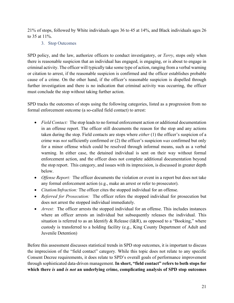<span id="page-21-0"></span>21% of stops, followed by White individuals ages 36 to 45 at 14%, and Black individuals ages 26 to 35 at 11%.

3. Stop Outcomes

SPD policy, and the law, authorize officers to conduct investigatory, or *Terry*, stops only when there is reasonable suspicion that an individual has engaged, is engaging, or is about to engage in criminal activity. The officer will typically take some type of action, ranging from a verbal warning or citation to arrest, if the reasonable suspicion is confirmed and the officer establishes probable cause of a crime. On the other hand, if the officer's reasonable suspicion is dispelled through further investigation and there is no indication that criminal activity was occurring, the officer must conclude the stop without taking further action.

SPD tracks the outcomes of stops using the following categories, listed as a progression from no formal enforcement outcome (a so-called field contact) to arrest:

- *Field Contact:* The stop leads to no formal enforcement action or additional documentation in an offense report. The officer still documents the reason for the stop and any actions taken during the stop. Field contacts are stops where *either* (1) the officer's suspicion of a crime was *not* sufficiently confirmed or (2) the officer's suspicion *was* confirmed but only for a minor offense which could be resolved through informal means, such as a verbal warning. In either case, the detained individual is sent on their way without formal enforcement action, and the officer does not complete additional documentation beyond the stop report. This category, and issues with its imprecision, is discussed in greater depth below.
- *Offense Report:* The officer documents the violation or event in a report but does not take any formal enforcement action (e.g., make an arrest or refer to prosecutor).
- *Citation/Infraction:* The officer cites the stopped individual for an offense.
- *Referred for Prosecution:* The officer refers the stopped individual for prosecution but does not arrest the stopped individual immediately.
- *Arrest:* The officer arrests the stopped individual for an offense. This includes instances where an officer arrests an individual but subsequently releases the individual. This situation is referred to as an Identify & Release (I&R), as opposed to a "Booking," where custody is transferred to a holding facility (e.g., King County Department of Adult and Juvenile Detention)

Before this assessment discusses statistical trends in SPD stop outcomes, it is important to discuss the imprecision of the "field contact" category. While this topic does not relate to any specific Consent Decree requirements, it does relate to SPD's overall goals of performance improvement through sophisticated data-driven management. **In short, "field contact" refers to both stops for which there** *is* **and** *is not* **an underlying crime, complicating analysis of SPD stop outcomes**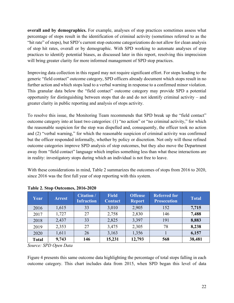**overall and by demographics.** For example, analyses of stop practices sometimes assess what percentage of stops result in the identification of criminal activity (sometimes referred to as the "hit rate" of stops), but SPD's current stop outcome categorizations do not allow for clean analysis of stop hit rates, overall or by demographic. With SPD working to automate analyses of stop practices to identify potential biases, as discussed later in this report, resolving this imprecision will bring greater clarity for more informed management of SPD stop practices.

Improving data collection in this regard may not require significant effort. For stops leading to the generic "field contact" outcome category, SPD officers already document which stops result in no further action and which stops lead to a verbal warning in response to a confirmed minor violation. This granular data below the "field contact" outcome category may provide SPD a potential opportunity for distinguishing between stops that do and do not identify criminal activity – and greater clarity in public reporting and analysis of stops activity.

To resolve this issue, the Monitoring Team recommends that SPD break up the "field contact" outcome category into at least two categories: (1) "no action" or "no criminal activity," for which the reasonable suspicion for the stop was dispelled and, consequently, the officer took no action and (2) "verbal warning," for which the reasonable suspicion of criminal activity was confirmed but the officer responded informally, whether by policy or discretion. Not only will those refined outcome categories improve SPD analysis of stop outcomes, but they also move the Department away from "field contact" language which implies something less than what these interactions are in reality: investigatory stops during which an individual is not free to leave.

With these considerations in mind, Table 2 summarizes the outcomes of stops from 2016 to 2020, since 2016 was the first full year of stop reporting with this system.

| Year         | <b>Arrest</b> | <b>Citation /</b><br><b>Infraction</b> | <b>Field</b><br><b>Contact</b> | <b>Offense</b><br><b>Report</b> | <b>Referred for</b><br><b>Prosecution</b> | <b>Total</b> |
|--------------|---------------|----------------------------------------|--------------------------------|---------------------------------|-------------------------------------------|--------------|
| 2016         | 1,615         | 33                                     | 3,010                          | 2,905                           | 152                                       | 7,715        |
| 2017         | 1,727         | 27                                     | 2,758                          | 2,830                           | 146                                       | 7,488        |
| 2018         | 2,437         | 33                                     | 2,825                          | 3,397                           | 191                                       | 8,883        |
| 2019         | 2,353         | 27                                     | 3,475                          | 2,305                           | 78                                        | 8,238        |
| 2020         | 1,611         | 26                                     | 3,163                          | 1,356                           |                                           | 6,157        |
| <b>Total</b> | 9,743         | 146                                    | 15,231                         | 12,793                          | 568                                       | 38,481       |

#### **Table 2. Stop Outcomes, 2016-2020**

*Source: SPD Open Data*

Figure 4 presents this same outcome data highlighting the percentage of total stops falling in each outcome category. This chart includes data from 2015, when SPD began this level of data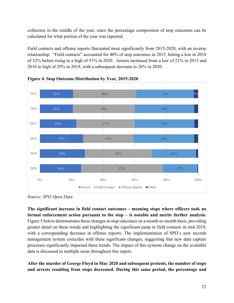collection in the middle of the year, since the percentage composition of stop outcomes can be calculated for what portion of the year was reported.

Field contacts and offense reports fluctuated most significantly from 2015-2020, with an inverse relationship. "Field contacts" accounted for 40% of stop outcomes in 2015, hitting a low in 2018 of 32% before rising to a high of 51% in 2020. Arrests increased from a low of 21% in 2015 and 2016 to high of 29% in 2019, with a subsequent decrease to 26% in 2020.



**Figure 4. Stop Outcome Distribution by Year, 2015-2020**

*Source: SPD Open Data*

**The significant increase in field contact outcomes – meaning stops where officers took no formal enforcement action pursuant to the stop – is notable and merits further analysis.** Figure 5 below demonstrates these changes in stop outcomes on a month-to-month basis, providing greater detail on these trends and highlighting the significant jump in field contacts in mid 2019, with a corresponding decrease in offense reports. The implementation of SPD's new records management system coincides with these significant changes, suggesting that new data capture processes significantly impacted these trends. The impact of this systems change on the available data is discussed in multiple areas throughout this report.

**After the murder of George Floyd in May 2020 and subsequent protests, the number of stops and arrests resulting from stops decreased. During this same period, the percentage and**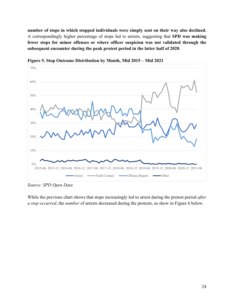**number of stops in which stopped individuals were simply sent on their way also declined.** A correspondingly higher percentage of stops led to arrests, suggesting that **SPD was making fewer stops for minor offenses or where officer suspicion was not validated through the subsequent encounter during the peak protest period in the latter half of 2020**.



**Figure 5. Stop Outcome Distribution by Month, Mid 2015 – Mid 2021**

*Source: SPD Open Data*

While the previous chart shows that stops increasingly led to arrest during the protest period *after a stop occurred*, the *number* of arrests decreased during the protests, as show in Figure 6 below.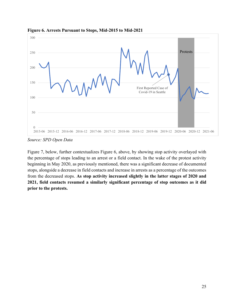

**Figure 6. Arrests Pursuant to Stops, Mid-2015 to Mid-2021**

*Source: SPD Open Data*

Figure 7, below, further contextualizes Figure 6, above, by showing stop activity overlayed with the percentage of stops leading to an arrest or a field contact. In the wake of the protest activity beginning in May 2020, as previously mentioned, there was a significant decrease of documented stops, alongside a decrease in field contacts and increase in arrests as a percentage of the outcomes from the decreased stops. **As stop activity increased slightly in the latter stages of 2020 and 2021, field contacts resumed a similarly significant percentage of stop outcomes as it did prior to the protests.**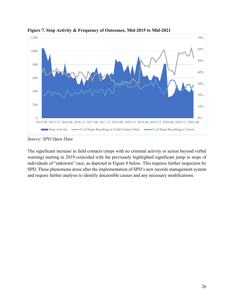

**Figure 7. Stop Activity & Frequency of Outcomes, Mid-2015 to Mid-2021**

*Source: SPD Open Data*

The significant increase in field contacts (stops with no criminal activity or action beyond verbal warning) starting in 2019 coincided with the previously highlighted significant jump in stops of individuals of "unknown" race, as depicted in Figure 8 below. This requires further inspection by SPD. These phenomena arose after the implementation of SPD's new records management system and require further analysis to identify discernible causes and any necessary modifications.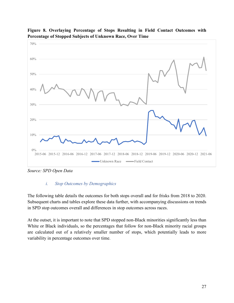



*Source: SPD Open Data*

#### *i. Stop Outcomes by Demographics*

The following table details the outcomes for both stops overall and for frisks from 2018 to 2020. Subsequent charts and tables explore these data further, with accompanying discussions on trends in SPD stop outcomes overall and differences in stop outcomes across races.

At the outset, it is important to note that SPD stopped non-Black minorities significantly less than White or Black individuals, so the percentages that follow for non-Black minority racial groups are calculated out of a relatively smaller number of stops, which potentially leads to more variability in percentage outcomes over time.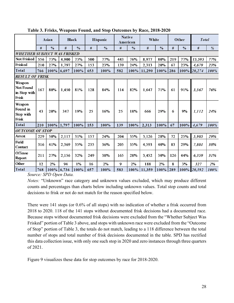|                                              |                                    | Asia n        | <b>Black</b> |               |     | Hispanic      |     | <b>Native</b><br>American | <b>White</b> |               |     | <b>Other</b>  | <b>Total</b> |               |
|----------------------------------------------|------------------------------------|---------------|--------------|---------------|-----|---------------|-----|---------------------------|--------------|---------------|-----|---------------|--------------|---------------|
|                                              | #                                  | $\frac{0}{0}$ | #            | $\frac{0}{0}$ | #   | $\frac{0}{0}$ | #   | $\frac{0}{0}$             | #            | $\frac{0}{0}$ | #   | $\frac{0}{0}$ | #            | $\frac{9}{6}$ |
|                                              | <b>WHETHER SUBJECT WAS FRISKED</b> |               |              |               |     |               |     |                           |              |               |     |               |              |               |
| Not Frisked                                  | 556                                | 73%           | 4.900        | 73%           | 500 | 77%           | 443 | 76%                       | 8,977        | 80%           | 219 | 77%           | 15,595       | 77%           |
| Frisked                                      | 210                                | 27%           | 1,797        | 27%           | 153 | 23%           | 139 | 24%                       | 2,313        | 20%           | 67  | 23%           | 4,679        | 23%           |
| <b>Total</b>                                 | 766                                | 100%          | 6,697        | 100%          | 653 | 100%          | 582 | 100%                      | 11,290       | 100%          | 286 | 100%          | 20,274       | 100%          |
| <b>RESULT OF FRISK</b>                       |                                    |               |              |               |     |               |     |                           |              |               |     |               |              |               |
| Weapon<br>Not Found<br>in Stop with<br>Frisk | 167                                | 80%           | 1,450        | 81%           | 128 | 84%           | 114 | 82%                       | 1,647        | 71%           | 61  | 91%           | 3,567        | 76%           |
| Weapon<br>Found in<br>Stop with<br>Frisk     | 43                                 | 20%           | 347          | 19%           | 25  | 16%           | 25  | 18%                       | 666          | 29%           | 6   | 9%            | 1,112        | 24%           |
| <b>Total</b>                                 | 210                                | 100%          | 1,797        | 100%          | 153 | 100%          | 139 | 100%                      | 2,313        | 100%          | 67  | 100%          | 4,679        | 100%          |
| <b>OUTCOME OF STOP</b>                       |                                    |               |              |               |     |               |     |                           |              |               |     |               |              |               |
| Arrest                                       | 229                                | 30%           | 2,117        | 31%           | 157 | 24%           | 204 | 35%                       | 3,126        | 28%           | 72  | 25%           | 5,905        | 29%           |
| Field<br>Contact                             | 316                                | 41%           | 2,369        | 35%           | 235 | 36%           | 205 | 35%                       | 4.593        | 40%           | 83  | 29%           | 7,801        | 38%           |
| Offense<br>Report                            | 211                                | 27%           | 2,156        | 32%           | 249 | 38%           | 165 | 28%                       | 3,452        | 30%           | 126 | 44%           | 6,359        | 31%           |
| Other                                        | 12                                 | 2%            | 94           | 1%            | 16  | 2%            | 9   | 2%                        | 188          | 2%            | 8   | 3%            | 327          | 2%            |
| <b>Total</b>                                 | 768                                | $100\%$ 6,736 |              | 100%          | 657 | 100%          | 583 | $100\%$                   | 11,359       | 100%          | 289 |               | 100% 20,392  | 100%          |

**Table 3. Frisks, Weapons Found, and Stop Outcomes by Race, 2018-2020** 

*Source: SPD Open Data.* 

*Notes:* "Unknown" race category and unknown values excluded, which may produce different counts and percentages than charts below including unknown values. Total stop counts and total decisions to frisk or not do not match for the reason specified below.

There were 141 stops (or 0.6% of all stops) with no indication of whether a frisk occurred from 2018 to 2020. 118 of the 141 stops without documented frisk decisions had a documented race. Because stops without documented frisk decisions were excluded from the "Whether Subject Was Frisked" portion of Table 3 above, and stops with unknown race were excluded from the "Outcome of Stop" portion of Table 3, the totals do not match, leading to a 118 difference between the total number of stops and total number of frisk decisions documented in the table. SPD has rectified this data collection issue, with only one such stop in 2020 and zero instances through three quarters of 2021.

Figure 9 visualizes these data for stop outcomes by race for 2018-2020.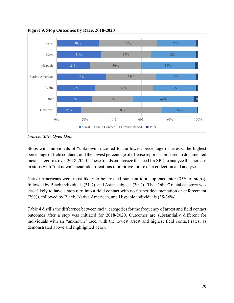

**Figure 9. Stop Outcomes by Race, 2018-2020**

*Source: SPD Open Data*

Stops with individuals of "unknown" race led to the lowest percentage of arrests, the highest percentage of field contacts, and the lowest percentage of offense reports, compared to documented racial categories over 2018-2020. These trends emphasize the need for SPD to analyze the increase in stops with "unknown" racial identifications to improve future data collection and analyses.

Native Americans were most likely to be arrested pursuant to a stop encounter (35% of stops), followed by Black individuals (31%), and Asian subjects (30%). The "Other" racial category was least likely to have a stop turn into a field contact with no further documentation or enforcement (29%), followed by Black, Native American, and Hispanic individuals (35-36%).

Table 4 distills the difference between racial categories for the frequency of arrest and field contact outcomes after a stop was initiated for 2018-2020. Outcomes are substantially different for individuals with an "unknown" race, with the lowest arrest and highest field contact rates, as demonstrated above and highlighted below.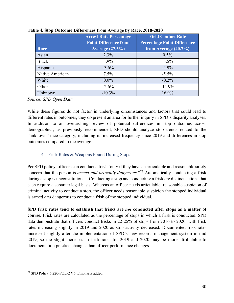|                 | <b>Arrest Rate Percentage</b> | <b>Field Contact Rate</b>          |  |  |  |
|-----------------|-------------------------------|------------------------------------|--|--|--|
|                 | <b>Point Difference from</b>  | <b>Percentage Point Difference</b> |  |  |  |
| Race            | <b>Average (27.5%)</b>        | from Average $(40.7\%)$            |  |  |  |
| Asian           | 2.3%                          | $0.5\%$                            |  |  |  |
| Black           | $3.9\%$                       | $-5.5\%$                           |  |  |  |
| Hispanic        | $-3.6\%$                      | $-4.9\%$                           |  |  |  |
| Native American | $7.5\%$                       | $-5.5\%$                           |  |  |  |
| White           | $0.0\%$                       | $-0.2\%$                           |  |  |  |
| Other           | $-2.6\%$                      | $-11.9%$                           |  |  |  |
| Unknown         | $-10.3\%$                     | 16.9%                              |  |  |  |

**Table 4. Stop Outcome Differences from Average by Race, 2018-2020**

*Source: SPD Open Data*

While these figures do not factor in underlying circumstances and factors that could lead to different rates in outcomes, they do present an area for further inquiry in SPD's disparity analyses. In addition to an overarching review of potential differences in stop outcomes across demographics, as previously recommended, SPD should analyze stop trends related to the "unknown" race category, including its increased frequency since 2019 and differences in stop outcomes compared to the average.

#### 4. Frisk Rates & Weapons Found During Stops

<span id="page-30-0"></span>Per SPD policy, officers can conduct a frisk "only if they have an articulable and reasonable safety concern that the person is *armed and presently dangerous*."[77](#page-30-1) Automatically conducting a frisk during a stop is unconstitutional. Conducting a stop and conducting a frisk are distinct actions that each require a separate legal basis. Whereas an officer needs articulable, reasonable suspicion of criminal activity to conduct a stop, the officer needs reasonable suspicion the stopped individual is armed *and* dangerous to conduct a frisk of the stopped individual.

**SPD frisk rates tend to establish that frisks are** *not* **conducted after stops as a matter of course.** Frisk rates are calculated as the percentage of stops in which a frisk is conducted. SPD data demonstrate that officers conduct frisks in 22-25% of stops from 2016 to 2020, with frisk rates increasing slightly in 2019 and 2020 as stop activity decreased. Documented frisk rates increased slightly after the implementation of SPD's new records management system in mid 2019, so the slight increases in frisk rates for 2019 and 2020 may be more attributable to documentation practice changes than officer performance changes.

<span id="page-30-1"></span><sup>77</sup> SPD Policy 6.220-POL-2 ¶ 6. Emphasis added.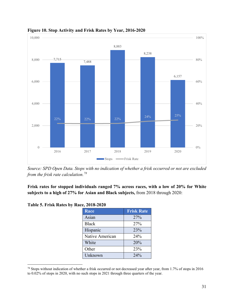

**Figure 10. Stop Activity and Frisk Rates by Year, 2016-2020**

*Source: SPD Open Data. Stops with no indication of whether a frisk occurred or not are excluded from the frisk rate calculation. [78](#page-31-0)*

**Frisk rates for stopped individuals ranged 7% across races, with a low of 20% for White subjects to a high of 27% for Asian and Black subjects,** from 2018 through 2020:

| <b>Frisk Rate</b> |
|-------------------|
| 27%               |
| 27%               |
| 23%               |
| 24%               |
| 20%               |
| 23%               |
| 24%               |
|                   |

**Table 5. Frisk Rates by Race, 2018-2020**

<span id="page-31-0"></span><sup>78</sup> Stops without indication of whether a frisk occurred or not decreased year after year, from 1.7% of stops in 2016 to 0.02% of stops in 2020, with no such stops in 2021 through three quarters of the year.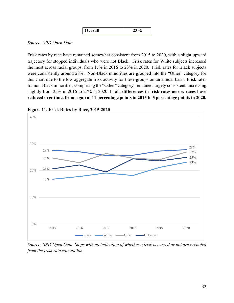| Overall | 0<br>ົ |
|---------|--------|
|---------|--------|

#### *Source: SPD Open Data*

Frisk rates by race have remained somewhat consistent from 2015 to 2020, with a slight upward trajectory for stopped individuals who were not Black. Frisk rates for White subjects increased the most across racial groups, from 17% in 2016 to 23% in 2020. Frisk rates for Black subjects were consistently around 28%. Non-Black minorities are grouped into the "Other" category for this chart due to the low aggregate frisk activity for these groups on an annual basis. Frisk rates for non-Black minorities, comprising the "Other" category, remained largely consistent, increasing slightly from 25% in 2016 to 27% in 2020. In all, **differences in frisk rates across races have reduced over time, from a gap of 11 percentage points in 2015 to 5 percentage points in 2020.** 



**Figure 11. Frisk Rates by Race, 2015-2020**

*Source: SPD Open Data. Stops with no indication of whether a frisk occurred or not are excluded from the frisk rate calculation.*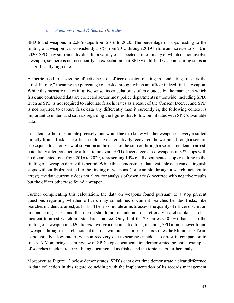#### *i. Weapons Found & Search Hit Rates*

SPD found weapons in 2,246 stops from 2016 to 2020. The percentage of stops leading to the finding of a weapon was consistently 5-6% from 2015 through 2019 before an increase to 7.5% in 2020. SPD may stop an individual for a variety of suspected crimes, many of which do not involve a weapon, so there is not necessarily an expectation that SPD would find weapons during stops at a significantly high rate.

A metric used to assess the effectiveness of officer decision making in conducting frisks is the "frisk hit rate," meaning the percentage of frisks through which an officer indeed finds a weapon. While this measure makes intuitive sense, its calculation is often clouded by the manner in which frisk and contraband data are collected across most police departments nationwide, including SPD. Even as SPD is not required to calculate frisk hit rates as a result of the Consent Decree, and SPD is not required to capture frisk data any differently than it currently is, the following context is important to understand caveats regarding the figures that follow on hit rates with SPD's available data.

To calculate the frisk hit rate precisely, one would have to know whether weapon recovery resulted directly from a frisk. The officer could have alternatively recovered the weapon through a seizure subsequent to an on-view observation at the onset of the stop or through a search incident to arrest, potentially after conducting a frisk to no avail. SPD officers recovered weapons in 322 stops with no documented frisk from 2016 to 2020, representing 14% of all documented stops resulting in the finding of a weapon during this period. While this demonstrates that available data can distinguish stops without frisks that led to the finding of weapons (for example through a search incident to arrest), the data currently does not allow for analysis of when a frisk occurred with negative results but the officer otherwise found a weapon.

Further complicating this calculation, the data on weapons found pursuant to a stop present questions regarding whether officers may sometimes document searches besides frisks, like searches incident to arrest, as frisks. The frisk hit rate aims to assess the quality of officer discretion in conducting frisks, and this metric should not include non-discretionary searches like searches incident to arrest which are standard practice. Only 1 of the 201 arrests (0.5%) that led to the finding of a weapon in 2020 did *not* involve a documented frisk, meaning SPD almost never found a weapon through a search incident to arrest without a prior frisk. This strikes the Monitoring Team as potentially a low rate of weapon recovery due to searches incident to arrest in comparison to frisks. A Monitoring Team review of SPD stops documentation demonstrated potential examples of searches incident to arrest being documented as frisks, and the topic bears further analysis.

Moreover, as Figure 12 below demonstrates, SPD's data over time demonstrate a clear difference in data collection in this regard coinciding with the implementation of its records management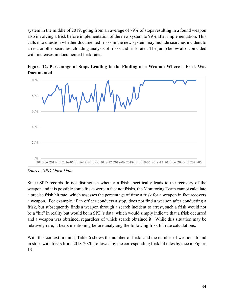system in the middle of 2019, going from an average of 79% of stops resulting in a found weapon also involving a frisk before implementation of the new system to 99% after implementation. This calls into question whether documented frisks in the new system may include searches incident to arrest, or other searches, clouding analysis of frisks and frisk rates. The jump below also coincided with increases in documented frisk rates.





*Source: SPD Open Data*

Since SPD records do not distinguish whether a frisk specifically leads to the recovery of the weapon and it is possible some frisks were in fact not frisks, the Monitoring Team cannot calculate a precise frisk hit rate, which assesses the percentage of time a frisk for a weapon in fact recovers a weapon. For example, if an officer conducts a stop, does not find a weapon after conducting a frisk, but subsequently finds a weapon through a search incident to arrest, such a frisk would not be a "hit" in reality but would be in SPD's data, which would simply indicate that a frisk occurred and a weapon was obtained, regardless of which search obtained it. While this situation may be relatively rare, it bears mentioning before analyzing the following frisk hit rate calculations.

With this context in mind, Table 6 shows the number of frisks and the number of weapons found in stops with frisks from 2018-2020, followed by the corresponding frisk hit rates by race in Figure 13.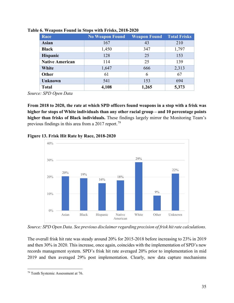| Race                   | <b>No Weapon Found</b> | <b>Weapon Found</b> | <b>Total Frisks</b> |
|------------------------|------------------------|---------------------|---------------------|
| <b>Asian</b>           | 167                    | 43                  | 210                 |
| <b>Black</b>           | 1,450                  | 347                 | 1,797               |
| <b>Hispanic</b>        | 128                    | 25                  | 153                 |
| <b>Native American</b> | 114                    | 25                  | 139                 |
| White                  | 1,647                  | 666                 | 2,313               |
| Other                  | 61                     | 6                   | 67                  |
| <b>Unknown</b>         | 541                    | 153                 | 694                 |
| <b>Total</b>           | 4,108                  | 1,265               | 5,373               |

**Table 6. Weapons Found in Stops with Frisks, 2018-2020**

*Source: SPD Open Data*

**From 2018 to 2020, the rate at which SPD officers found weapons in a stop with a frisk was higher for stops of White individuals than any other racial group – and 10 percentage points higher than frisks of Black individuals.** These findings largely mirror the Monitoring Team's previous findings in this area from a 2017 report.<sup>[79](#page-35-0)</sup>

**Figure 13. Frisk Hit Rate by Race, 2018-2020**



*Source: SPD Open Data. See previous disclaimer regarding precision of frisk hit rate calculations.*

The overall frisk hit rate was steady around 20% for 2015-2018 before increasing to 23% in 2019 and then 30% in 2020. This increase, once again, coincides with the implementation of SPD's new records management system. SPD's frisk hit rate averaged 20% prior to implementation in mid 2019 and then averaged 29% post implementation. Clearly, new data capture mechanisms

<span id="page-35-0"></span><sup>79</sup> Tenth Systemic Assessment at 76.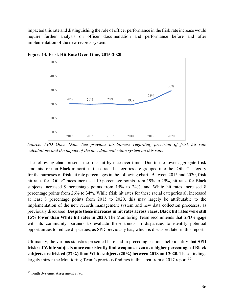impacted this rate and distinguishing the role of officer performance in the frisk rate increase would require further analysis on officer documentation and performance before and after implementation of the new records system.



**Figure 14. Frisk Hit Rate Over Time, 2015-2020**

*Source: SPD Open Data. See previous disclaimers regarding precision of frisk hit rate calculations and the impact of the new data collection system on this rate.*

The following chart presents the frisk hit by race over time. Due to the lower aggregate frisk amounts for non-Black minorities, these racial categories are grouped into the "Other" category for the purposes of frisk hit rate percentages in the following chart. Between 2015 and 2020, frisk hit rates for "Other" races increased 10 percentage points from 19% to 29%, hit rates for Black subjects increased 9 percentage points from 15% to 24%, and White hit rates increased 8 percentage points from 26% to 34%. While frisk hit rates for these racial categories all increased at least 8 percentage points from 2015 to 2020, this may largely be attributable to the implementation of the new records management system and new data collection processes, as previously discussed. **Despite these increases in hit rates across races, Black hit rates were still 15% lower than White hit rates in 2020.** The Monitoring Team recommends that SPD engage with its community partners to evaluate these trends in disparities to identify potential opportunities to reduce disparities, as SPD previously has, which is discussed later in this report.

Ultimately, the various statistics presented here and in preceding sections help identify that **SPD frisks of White subjects more consistently find weapons, even as a higher percentage of Black subjects are frisked (27%) than White subjects (20%) between 2018 and 2020.** These findings largely mirror the Monitoring Team's previous findings in this area from a 2017 report.<sup>[80](#page-36-0)</sup>

<span id="page-36-0"></span><sup>80</sup> Tenth Systemic Assessment at 76.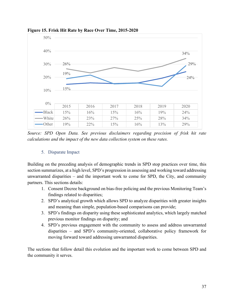

**Figure 15. Frisk Hit Rate by Race Over Time, 2015-2020**

*Source: SPD Open Data. See previous disclaimers regarding precision of frisk hit rate calculations and the impact of the new data collection system on these rates.*

#### 5. Disparate Impact

<span id="page-37-0"></span>Building on the preceding analysis of demographic trends in SPD stop practices over time, this section summarizes, at a high level, SPD's progression in assessing and working toward addressing unwarranted disparities – and the important work to come for SPD, the City, and community partners. This sections details:

- 1. Consent Decree background on bias-free policing and the previous Monitoring Team's findings related to disparities;
- 2. SPD's analytical growth which allows SPD to analyze disparities with greater insights and meaning than simple, population-based comparisons can provide;
- 3. SPD's findings on disparity using these sophisticated analytics, which largely matched previous monitor findings on disparity; and
- 4. SPD's previous engagement with the community to assess and address unwarranted disparities – and SPD's community-oriented, collaborative policy framework for moving forward toward addressing unwarranted disparities.

The sections that follow detail this evolution and the important work to come between SPD and the community it serves.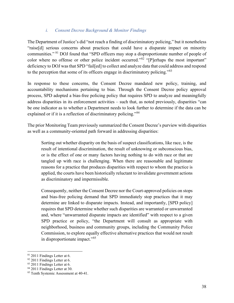#### *i. Consent Decree Background & Monitor Findings*

The Department of Justice's did "not reach a finding of discriminatory policing," but it nonetheless "raise[d] serious concerns about practices that could have a disparate impact on minority communities." [81](#page-38-0) DOJ found that "SPD officers may stop a disproportionate number of people of color where no offense or other police incident occurred."<sup>[82](#page-38-1)</sup> "[P]erhaps the most important" deficiency to DOJ was that SPD "fail[ed] to collect and analyze data that could address and respond to the perception that some of its officers engage in discriminatory policing."[83](#page-38-2)

In response to these concerns, the Consent Decree mandated new policy, training, and accountability mechanisms pertaining to bias. Through the Consent Decree policy approval process, SPD adopted a bias-free policing policy that requires SPD to analyze and meaningfully address disparities in its enforcement activities – such that, as noted previously, disparities "can be one indicator as to whether a Department needs to look further to determine if the data can be explained or if it is a reflection of discriminatory policing."<sup>[84](#page-38-3)</sup>

The prior Monitoring Team previously summarized the Consent Decree's purview with disparities as well as a community-oriented path forward in addressing disparities:

Sorting out whether disparity on the basis of suspect classifications, like race, is the result of intentional discrimination, the result of unknowing or subconscious bias, or is the effect of one or many factors having nothing to do with race or that are tangled up with race is challenging. When there are reasonable and legitimate reasons for a practice that produces disparities with respect to whom the practice is applied, the courts have been historically reluctant to invalidate government actions as discriminatory and impermissible.

Consequently, neither the Consent Decree nor the Court-approved policies on stops and bias-free policing demand that SPD immediately stop practices that it may determine are linked to disparate impacts. Instead, and importantly, [SPD policy] requires that SPD determine whether such disparities are warranted or unwarranted and, where "unwarranted disparate impacts are identified" with respect to a given SPD practice or policy, "the Department will consult as appropriate with neighborhood, business and community groups, including the Community Police Commission, to explore equally effective alternative practices that would not result in disproportionate impact."[85](#page-38-4)

<span id="page-38-1"></span><span id="page-38-0"></span><sup>&</sup>lt;sup>81</sup> 2011 Findings Letter at 6.

<sup>82</sup> 2011 Findings Letter at 6.

<span id="page-38-2"></span><sup>83</sup> 2011 Findings Letter at 6.

<span id="page-38-3"></span><sup>&</sup>lt;sup>84</sup> 2011 Findings Letter at 30.

<span id="page-38-4"></span><sup>85</sup> Tenth Systemic Assessment at 40-41.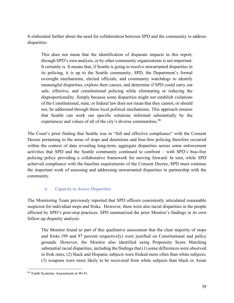It elaborated further about the need for collaboration between SPD and the community to address disparities:

This does not mean that the identification of disparate impacts in this report, through SPD's own analysis, or by other community organizations is not important. It certainly is. It means that, if Seattle is going to resolve unwarranted disparities in its policing, it is up to the Seattle community, SPD, the Department's formal oversight mechanisms, elected officials, and community watchdogs to identify meaningful disparities, explore their causes, and determine if SPD could carry out safe, effective, and constitutional policing while eliminating or reducing the disproportionality. Simply because some disparities might not establish violations of the Constitutional, state, or federal law does not mean that they cannot, or should not, be addressed through these local political mechanisms. This approach ensures that Seattle can work out specific solutions informed substantially by the experiences and values of all of the city's diverse communities.<sup>[86](#page-39-0)</sup>

The Court's prior finding that Seattle was in "full and effective compliance" with the Consent Decree pertaining to the areas of stops and detentions and bias-free policing therefore occurred within the context of data revealing long-term, aggregate disparities across some enforcement activities that SPD and the Seattle community continued to confront – with SPD's bias-free policing policy providing a collaborative framework for moving forward. In turn, while SPD achieved compliance with the baseline requirements of the Consent Decree, SPD must continue the important work of assessing and addressing unwarranted disparities in partnership with the community.

#### *ii. Capacity to Assess Disparities*

The Monitoring Team previously reported that SPD officers consistently articulated reasonable suspicion for individual stops and frisks. However, there were also racial disparities in the people affected by SPD's post-stop practices. SPD summarized the prior Monitor's findings in its own follow-up disparity analysis:

The Monitor found as part of this qualitative assessment that the clear majority of stops and frisks (99 and 97 percent respectively) were justified on Constitutional and policy grounds. However, the Monitor also identified using Propensity Score Matching substantial racial disparities, including the findings that (1) some differences were observed in frisk rates; (2) black and Hispanic subjects were frisked more often than white subjects; (3) weapons were more likely to be recovered from white subjects than black or Asian

<span id="page-39-0"></span><sup>86</sup> Tenth Systemic Assessment at 40-41.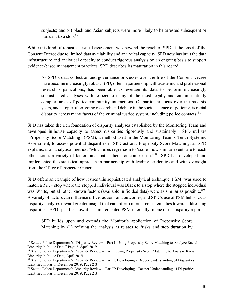subjects; and (4) black and Asian subjects were more likely to be arrested subsequent or pursuant to a stop.<sup>[87](#page-40-0)</sup>

While this kind of robust statistical assessment was beyond the reach of SPD at the onset of the Consent Decree due to limited data availability and analytical capacity, SPD now has built the data infrastructure and analytical capacity to conduct rigorous analysis on an ongoing basis to support evidence-based management practices. SPD describes its maturation in this regard:

As SPD's data collection and governance processes over the life of the Consent Decree have become increasingly robust, SPD, often in partnership with academic and professional research organizations, has been able to leverage its data to perform increasingly sophisticated analyses with respect to many of the most legally and circumstantially complex areas of police-community interactions. Of particular focus over the past six years, and a topic of on-going research and debate in the social science of policing, is racial disparity across many facets of the criminal justice system, including police contacts.<sup>[88](#page-40-1)</sup>

SPD has taken the rich foundation of disparity analyses established by the Monitoring Team and developed in-house capacity to assess disparities rigorously and sustainably. SPD utilizes "Propensity Score Matching" (PSM), a method used in the Monitoring Team's Tenth Systemic Assessment, to assess potential disparities in SPD actions. Propensity Score Matching, as SPD explains, is an analytical method "which uses regression to 'score' how similar events are to each other across a variety of factors and match them for comparison."[89](#page-40-2) SPD has developed and implemented this statistical approach in partnership with leading academics and with oversight from the Office of Inspector General.

SPD offers an example of how it uses this sophisticated analytical technique: PSM "was used to match a *Terry* stop where the stopped individual was Black to a stop where the stopped individual was White, but all other known factors (available in fielded data) were as similar as possible."<sup>[90](#page-40-3)</sup> A variety of factors can influence officer actions and outcomes, and SPD's use of PSM helps focus disparity analyses toward greater insight that can inform more precise remedies toward addressing disparities. SPD specifies how it has implemented PSM internally in one of its disparity reports:

SPD builds upon and extends the Monitor's application of Propensity Score Matching by (1) refining the analysis as relates to frisks and stop duration by

<span id="page-40-0"></span><sup>87</sup> Seattle Police Department's "Disparity Review – Part I: Using Propensity Score Matching to Analyze Racial Disparity in Police Data." Page 2. April 2019.

<span id="page-40-1"></span><sup>88</sup> Seattle Police Department's Disparity Review – Part I: Using Propensity Score Matching to Analyze Racial Disparity in Police Data, April 2019.

<span id="page-40-2"></span><sup>89</sup> Seattle Police Department's Disparity Review – Part II: Developing a Deeper Understanding of Disparities Identified in Part I. December 2019. Page 2-3

<span id="page-40-3"></span><sup>90</sup> Seattle Police Department's Disparity Review – Part II: Developing a Deeper Understanding of Disparities Identified in Part I. December 2019. Page 2-3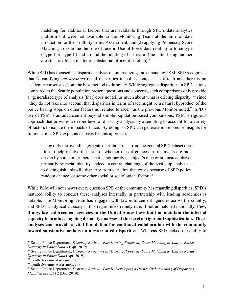matching for additional factors that are available through SPD's data analytics platform but were not available to the Monitoring Team at the time of data production for the Tenth Systemic Assessment; and (2) applying Propensity Score Matching to examine the role of race in Use of Force data relating to force type (Type I or Type II) and around the pointing of a firearm (the latter being another area that is often a matter of substantial officer discretion).<sup>[91](#page-41-0)</sup>

While SPD has focused its disparity analysis on internalizing and enhancing PSM, SPD recognizes that "quantifying *unwarranted* racial disparities in police contacts is difficult and there is no academic consensus about the best method to do so."<sup>[92](#page-41-1)</sup> While aggregate disparities in SPD actions compared to the Seattle population present questions and concerns, such comparisons only provide a "generalized type of analysis [that] does not tell us much about what is driving disparity"<sup>[93](#page-41-2)</sup> since "they do not take into account that disparities in terms of race might be a natural byproduct of the police basing stops on other factors not related to race," as the previous Monitor noted.<sup>[94](#page-41-3)</sup> SPD's use of PSM is an advancement beyond simple population-based comparisons. PSM is rigorous approach that provides a deeper level of disparity analysis by attempting to account for a variety of factors to isolate the impacts of race. By doing so, SPD can generate more precise insights for future action. SPD explains its basis for this approach:

Using only the overall, aggregate data about race from the general SPD dataset does little to help resolve the issue of whether the differences in treatments are most driven by some other factor that is not purely a subject's race or are instead driven primarily by racial identity. Indeed, a central challenge of the post-stop analysis is to distinguish unlawful disparity from variation that exists because of SPD policy, random chance, or some other social or sociological factor.<sup>[95](#page-41-4)</sup>

While PSM will not answer every question SPD or the community has regarding disparities, SPD's matured ability to conduct these analyses internally in partnership with leading academics is notable. The Monitoring Team has engaged with law enforcement agencies across the country, and SPD's analytical capacity in this regard is extremely rare, if not unmatched nationally. **Few, if any, law enforcement agencies in the United States have built or maintain the internal capacity to produce ongoing disparity analyses at this level of rigor and sophistication. These analyses can provide a vital foundation for continued collaboration with the community toward substantive actions on unwarranted disparities.** Whereas SPD lacked the ability to

<span id="page-41-0"></span><sup>91</sup> Seattle Police Department, *Disparity Review – Part I: Using Propensity Score Matching to Analyze Racial Disparity in Police Data* 3 (Apr. 2019).

<span id="page-41-1"></span><sup>92</sup> Seattle Police Department, *Disparity Review – Part I: Using Propensity Score Matching to Analyze Racial Disparity in Police Data* (Apr. 2019).

<span id="page-41-2"></span><sup>93</sup> Tenth Systemic Assessment at 3.

<span id="page-41-3"></span><sup>&</sup>lt;sup>94</sup> Tenth Systemic Assessment at 9.

<span id="page-41-4"></span><sup>95</sup> Seattle Police Department, *Disparity Review – Part II: Developing a Deeper Understanding of Disparities Identified in Part I* 2 (Dec. 2019).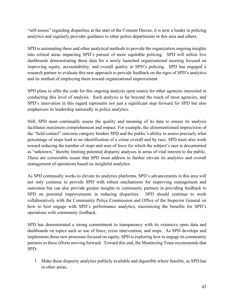"self-assess" regarding disparities at the start of the Consent Decree, it is now a leader in policing analytics and regularly provides guidance to other police departments in this area and others.

SPD is automating these and other analytical methods to provide the organization ongoing insights into critical areas impacting SPD's pursuit of more equitable policing. SPD will utilize live dashboards demonstrating these data for a newly launched organizational meeting focused on improving equity, accountability, and overall quality in SPD's policing. SPD has engaged a research partner to evaluate this new approach to provide feedback on the rigor of SPD's analytics and its method of employing them toward organizational improvement.

SPD plans to offer the code for this ongoing analysis open source for other agencies interested in conducting this level of analysis. Such analysis is far beyond the reach of most agencies, and SPD's innovation in this regard represents not just a significant step forward for SPD but also emphasizes its leadership nationally in police analytics.

Still, SPD must continually assess the quality and meaning of its data to ensure its analysis facilitates maximum comprehension and impact. For example, the aforementioned imprecision of the "field contact" outcome category hinders SPD and the public's ability to assess precisely what percentage of stops lead to no identification of a crime overall and by race. SPD must also work toward reducing the number of stops and uses of force for which the subject's race is documented as "unknown," thereby limiting potential disparity analyses in areas of vital interest to the public. These are correctable issues that SPD must address to further elevate its analytics and overall management of operations based on insightful analytics.

As SPD continually works to elevate its analytics platforms, SPD's advancements in this area will not only continue to provide SPD with robust mechanisms for improving management and outcomes but can also provide greater insights to community partners in providing feedback to SPD on potential improvements in reducing disparities. SPD should continue to work collaboratively with the Community Police Commission and Office of the Inspector General on how to best engage with SPD's performance analytics, maximizing the benefits for SPD's operations with community feedback.

SPD has demonstrated a strong commitment to transparency with its extensive open data and dashboards on topics such as use of force, crisis intervention, and stops. As SPD develops and implements these new processes focused on equity, SPD is exploring how to engage its community partners in these efforts moving forward. Toward this end, the Monitoring Team recommends that SPD:

1. Make these disparity analytics publicly available and digestible where feasible, as SPD has in other areas;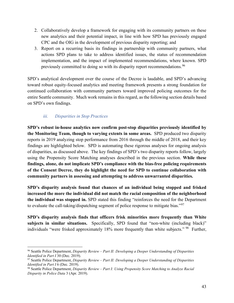- 2. Collaboratively develop a framework for engaging with its community partners on these new analytics and their potential impact, in line with how SPD has previously engaged CPC and the OIG in the development of previous disparity reporting; and
- 3. Report on a recurring basis its findings in partnership with community partners, what actions SPD plans to take to address identified issues, the status of recommendation implementation, and the impact of implemented recommendations, where known. SPD previously committed to doing so with its disparity report recommendations.<sup>[96](#page-43-0)</sup>

SPD's analytical development over the course of the Decree is laudable, and SPD's advancing toward robust equity-focused analytics and meeting framework presents a strong foundation for continued collaboration with community partners toward improved policing outcomes for the entire Seattle community. Much work remains in this regard, as the following section details based on SPD's own findings.

#### *iii. Disparities in Stop Practices*

**SPD's robust in-house analytics now confirm post-stop disparities previously identified by the Monitoring Team, though to varying extents in some areas.** SPD produced two disparity reports in 2019 analyzing stop performance from 2016 through the middle of 2018, and their key findings are highlighted below. SPD is automating these rigorous analyses for ongoing analysis of disparities, as discussed above. The key findings of SPD's two disparity reports follow, largely using the Propensity Score Matching analyses described in the previous section. **While these findings, alone, do not implicate SPD's compliance with the bias-free policing requirements of the Consent Decree, they do highlight the need for SPD to continue collaboration with community partners in assessing and attempting to address unwarranted disparities.**

**SPD's disparity analysis found that chances of an individual being stopped and frisked increased the more the individual did not match the racial composition of the neighborhood the individual was stopped in.** SPD stated this finding "reinforces the need for the Department to evaluate the call-taking/dispatching segment of police response to mitigate bias."<sup>[97](#page-43-1)</sup>

**SPD's disparity analysis finds that officers frisk minorities more frequently than White subjects in similar situations.** Specifically, SPD found that "non-white (including black)" individuals "were frisked approximately 18% more frequently than white subjects." <sup>[98](#page-43-2)</sup> Further,

<span id="page-43-0"></span><sup>96</sup> Seattle Police Department, *Disparity Review – Part II: Developing a Deeper Understanding of Disparities Identified in Part I* 30 (Dec. 2019).

<span id="page-43-1"></span><sup>97</sup> Seattle Police Department, *Disparity Review – Part II: Developing a Deeper Understanding of Disparities Identified in Part I* 6 (Dec. 2019).

<span id="page-43-2"></span><sup>98</sup> Seattle Police Department, *Disparity Review – Part I: Using Propensity Score Matching to Analyze Racial Disparity in Police Data* 3 (Apr. 2019).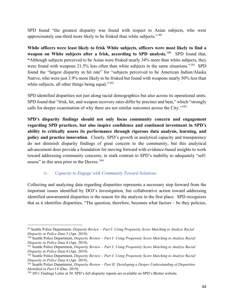SPD found "the greatest disparity was found with respect to Asian subjects, who were approximately one-third more likely to be frisked than white subjects." [99](#page-44-0)

**While officers were least likely to frisk White subjects, officers were most likely to find a weapon on White subjects after a frisk, according to SPD analysis.**<sup>[100](#page-44-1)</sup> SPD found that, **"**Although subjects perceived to be Asian were frisked nearly 34% more than white subjects, they were found with weapons 21.5% less often than white subjects in the same situations."<sup>[101](#page-44-2)</sup> SPD found the "largest disparity in hit rate" for "subjects perceived to be American Indian/Alaska Native, who were just 3.9% more likely to be frisked but found with weapons nearly 50% less than white subjects, all other things being equal." $102$ 

SPD identified disparities not just along racial demographics but also across its operational units. SPD found that "frisk, hit, and weapon recovery rates differ by precinct and beat," which "strongly calls for deeper examination of why there are not similar outcomes across the City."<sup>[103](#page-44-4)</sup>

**SPD's disparity findings should not only focus community concern and engagement regarding SPD practices, but also inspire confidence and continued investment in SPD's ability to critically assess its performance through rigorous data analysis, learning, and policy and practice innovation.** Clearly, SPD's growth in analytical capacity and transparency do not diminish disparity findings of great concern to the community, but this analytical advancement does provide a foundation for moving forward with evidence-based insights to work toward addressing community concerns, in stark contrast to SPD's inability to adequately "self-assess" in this area prior to the Decree.<sup>[104](#page-44-5)</sup>

#### *iv. Capacity to Engage with Community Toward Solutions*

Collecting and analyzing data regarding disparities represents a necessary step forward from the important issues identified by DOJ's investigation, but collaborative action toward addressing identified unwarranted disparities is the reason for the analysis in the first place. SPD recognizes that as it identifies disparities, "The question, therefore, becomes what factors – be they policies,

<span id="page-44-0"></span><sup>99</sup> Seattle Police Department, *Disparity Review – Part I: Using Propensity Score Matching to Analyze Racial Disparity in Police Data* 3 (Apr. 2019).

<span id="page-44-1"></span><sup>100</sup> Seattle Police Department, *Disparity Review – Part I: Using Propensity Score Matching to Analyze Racial Disparity in Police Data* 4 (Apr. 2019).

<span id="page-44-2"></span><sup>101</sup> Seattle Police Department, *Disparity Review – Part I: Using Propensity Score Matching to Analyze Racial Disparity in Police Data* 4 (Apr. 2019).

<span id="page-44-3"></span><sup>102</sup> Seattle Police Department, *Disparity Review – Part I: Using Propensity Score Matching to Analyze Racial Disparity in Police Data* 4 (Apr. 2019).

<span id="page-44-4"></span><sup>103</sup> Seattle Police Department, *Disparity Review – Part II: Developing a Deeper Understanding of Disparities Identified in Part I* 6 (Dec. 2019).

<span id="page-44-5"></span><sup>104</sup> 2011 Findings Letter at 30. SPD's full disparity reports are available on SPD's Blotter website.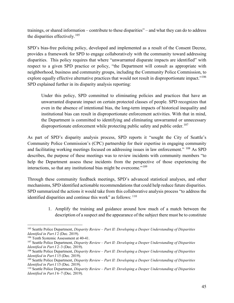trainings, or shared information – contribute to these disparities" – and what they can do to address the disparities effectively. [105](#page-45-0)

SPD's bias-free policing policy, developed and implemented as a result of the Consent Decree, provides a framework for SPD to engage collaboratively with the community toward addressing disparities. This policy requires that where "unwarranted disparate impacts are identified" with respect to a given SPD practice or policy, "the Department will consult as appropriate with neighborhood, business and community groups, including the Community Police Commission, to explore equally effective alternative practices that would not result in disproportionate impact."<sup>[106](#page-45-1)</sup> SPD explained further in its disparity analysis reporting:

Under this policy, SPD committed to eliminating policies and practices that have an unwarranted disparate impact on certain protected classes of people. SPD recognizes that even in the absence of intentional bias, the long-term impacts of historical inequality and institutional bias can result in disproportionate enforcement activities. With that in mind, the Department is committed to identifying and eliminating unwarranted or unnecessary disproportionate enforcement while protecting public safety and public order.<sup>[107](#page-45-2)</sup>

As part of SPD's disparity analysis process, SPD reports it "sought the City of Seattle's Community Police Commission's (CPC) partnership for their expertise in engaging community and facilitating working meetings focused on addressing issues in law enforcement." [108](#page-45-3) As SPD describes, the purpose of these meetings was to review incidents with community members "to help the Department assess these incidents from the perspective of those experiencing the interactions, so that any institutional bias might be overcome."[109](#page-45-4)

Through these community feedback meetings, SPD's advanced statistical analyses, and other mechanisms, SPD identified actionable recommendations that could help reduce future disparities. SPD summarized the actions it would take from this collaborative analysis process "to address the identified disparities and continue this work" as follows:  $110$ 

> 1. Amplify the training and guidance around how much of a match between the description of a suspect and the appearance of the subject there must be to constitute

<span id="page-45-0"></span><sup>105</sup> Seattle Police Department, *Disparity Review – Part II: Developing a Deeper Understanding of Disparities Identified in Part I* 2 (Dec. 2019).

<span id="page-45-1"></span><sup>106</sup> Tenth Systemic Assessment at 40-41.

<span id="page-45-2"></span><sup>107</sup> Seattle Police Department, *Disparity Review – Part II: Developing a Deeper Understanding of Disparities Identified in Part I* 2–3 (Dec. 2019).

<span id="page-45-3"></span><sup>108</sup> Seattle Police Department, *Disparity Review – Part II: Developing a Deeper Understanding of Disparities Identified in Part I* 15 (Dec. 2019).

<span id="page-45-4"></span><sup>109</sup> Seattle Police Department, *Disparity Review – Part II: Developing a Deeper Understanding of Disparities Identified in Part I* 15 (Dec. 2019).

<span id="page-45-5"></span><sup>110</sup> Seattle Police Department, *Disparity Review – Part II: Developing a Deeper Understanding of Disparities Identified in Part I* 6–7 (Dec. 2019).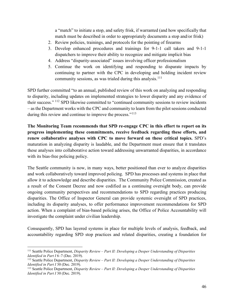a "match" to initiate a stop, and safety frisk, if warranted (and how specifically that match must be described in order to appropriately documents a stop and/or frisk)

- 2. Review policies, trainings, and protocols for the pointing of firearms
- 3. Develop enhanced procedures and trainings for 9-1-1 call takers and 9-1-1 dispatchers to improve their ability to recognize and mitigate implicit bias
- 4. Address "disparity-associated" issues involving officer professionalism
- 5. Continue the work on identifying and responding to disparate impacts by continuing to partner with the CPC in developing and holding incident review community sessions, as was trialed during this analysis.<sup>[111](#page-46-0)</sup>

SPD further committed "to an annual, published review of this work on analyzing and responding to disparity, including updates on implemented strategies to lower disparity and any evidence of their success." [112](#page-46-1) SPD likewise committed to "continued community sessions to review incidents – as the Department works with the CPC and community to learn from the pilot sessions conducted during this review and continue to improve the process."<sup>[113](#page-46-2)</sup>

**The Monitoring Team recommends that SPD re-engage CPC in this effort to report on its progress implementing these commitments, receive feedback regarding these efforts, and renew collaborative analyses with CPC to move forward on these critical topics.** SPD's maturation in analyzing disparity is laudable, and the Department must ensure that it translates these analyses into collaborative action toward addressing unwarranted disparities, in accordance with its bias-free policing policy.

The Seattle community is now, in many ways, better positioned than ever to analyze disparities and work collaboratively toward improved policing. SPD has processes and systems in place that allow it to acknowledge and describe disparities. The Community Police Commission, created as a result of the Consent Decree and now codified as a continuing oversight body, can provide ongoing community perspectives and recommendations to SPD regarding practices producing disparities. The Office of Inspector General can provide systemic oversight of SPD practices, including its disparity analyses, to offer performance improvement recommendations for SPD action. When a complaint of bias-based policing arises, the Office of Police Accountability will investigate the complaint under civilian leadership.

Consequently, SPD has layered systems in place for multiple levels of analysis, feedback, and accountability regarding SPD stop practices and related disparities, creating a foundation for

<span id="page-46-0"></span><sup>111</sup> Seattle Police Department, *Disparity Review – Part II: Developing a Deeper Understanding of Disparities Identified in Part I* 6–7 (Dec. 2019).

<span id="page-46-1"></span><sup>112</sup> Seattle Police Department, *Disparity Review – Part II: Developing a Deeper Understanding of Disparities Identified in Part I* 30 (Dec. 2019).

<span id="page-46-2"></span><sup>113</sup> Seattle Police Department, *Disparity Review – Part II: Developing a Deeper Understanding of Disparities Identified in Part I* 30 (Dec. 2019).